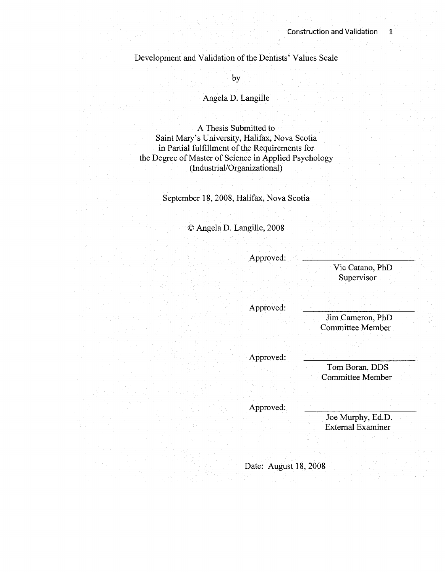Development and Validation of the Dentists' Values Scale

by

Angela D. Langille

A Thesis Submitted to Saint Mary's University, Halifax, Nova Scotia in Partial fulfillment of the Requirements for the Degree of Master of Science in Applied Psychology (Industrial/Organizational)

September 18, 2008, Halifax, Nova Scotia

© Angela D. Langille, 2008

Approved:

Vic Catano, PhD Supervisor

Approved:

Jim Cameron, PhD Committee Member

Approved:

Tom Boran, DDS Committee Member

Approved:

Joe Murphy, Ed.D. External Examiner

Date: August 18, 2008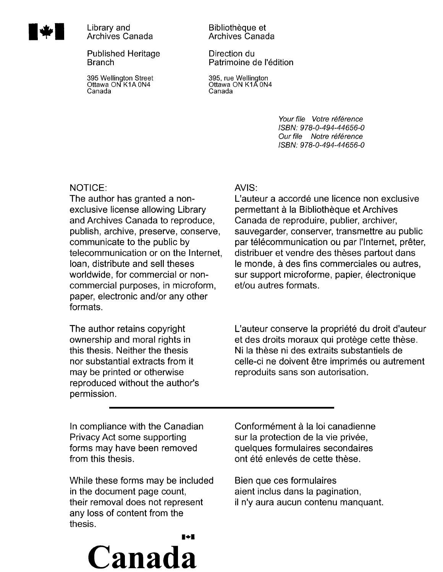

**1 17 Islaming Library and Archives Canada** 

Published Heritage Branch

395 Wellington Street Ottawa ON K1A0N4 Canada

### Bibliotheque et Archives Canada

Direction du Patrimoine de l'édition

395, rue Wellington Ottawa ON K1A 0N4 Canada

> Your file Votre référence ISBN: 978-0-494-44656-0 Our file Notre référence ISBN: 978-0-494-44656-0

# NOTICE:

The author has granted a nonexclusive license allowing Library and Archives Canada to reproduce, publish, archive, preserve, conserve, communicate to the public by telecommunication or on the Internet, loan, distribute and sell theses worldwide, for commercial or noncommercial purposes, in microform, paper, electronic and/or any other formats.

The author retains copyright ownership and moral rights in this thesis. Neither the thesis nor substantial extracts from it may be printed or otherwise reproduced without the author's permission.

# AVIS:

L'auteur a accordé une licence non exclusive permettant à la Bibliothèque et Archives Canada de reproduire, publier, archiver, sauvegarder, conserver, transmettre au public par télécommunication ou par l'Internet, prêter, distribuer et vendre des thèses partout dans le monde, à des fins commerciales ou autres, sur support microforme, papier, électronique et/ou autres formats.

L'auteur conserve la propriété du droit d'auteur et des droits moraux qui protège cette thèse. Ni la these ni des extraits substantiels de celle-ci ne doivent être imprimés ou autrement reproduits sans son autorisation.

In compliance with the Canadian Privacy Act some supporting forms may have been removed from this thesis.

While these forms may be included in the document page count, their removal does not represent any loss of content from the thesis.

**Canada** 

 $\blacksquare \bullet \blacksquare$ 

Conformément à la loi canadienne sur la protection de la vie privée, quelques formulaires secondaires ont été enlevés de cette thèse.

Bien que ces formulaires aient inclus dans la pagination, il n'y aura aucun contenu manquant.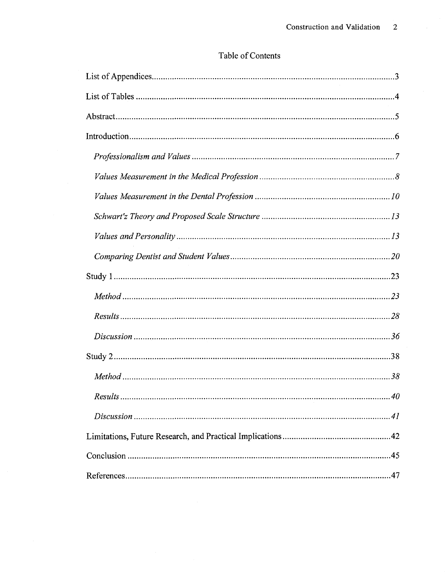## Table of Contents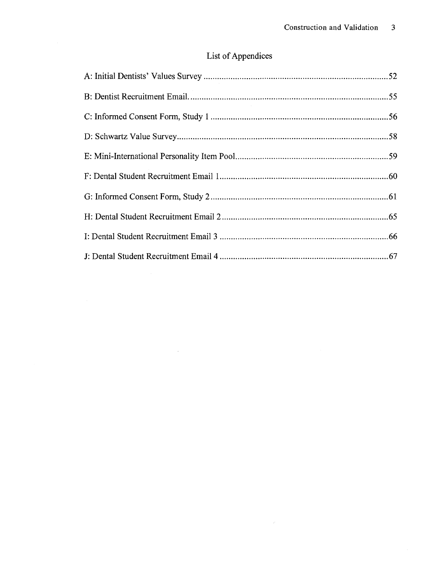# List of Appendices

 $\sim$   $\omega$  .

 $\mathcal{L}^{\text{max}}_{\text{max}}$  and  $\mathcal{L}^{\text{max}}_{\text{max}}$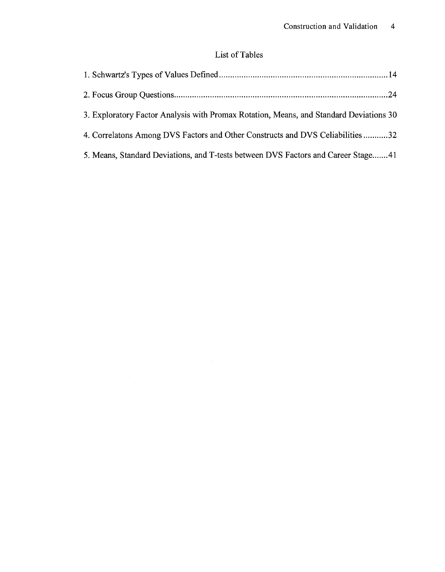# List of Tables

| 3. Exploratory Factor Analysis with Promax Rotation, Means, and Standard Deviations 30 |  |
|----------------------------------------------------------------------------------------|--|
| 4. Correlatons Among DVS Factors and Other Constructs and DVS Celiabilities32          |  |
| 5. Means, Standard Deviations, and T-tests between DVS Factors and Career Stage41      |  |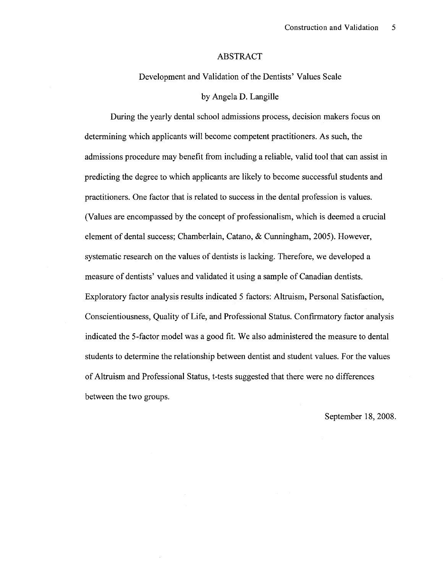### ABSTRACT

Development and Validation of the Dentists' Values Scale

### by Angela D. Langille

During the yearly dental school admissions process, decision makers focus on determining which applicants will become competent practitioners. As such, the admissions procedure may benefit from including a reliable, valid tool that can assist in predicting the degree to which applicants are likely to become successful students and practitioners. One factor that is related to success in the dental profession is values. (Values are encompassed by the concept of professionalism, which is deemed a crucial element of dental success; Chamberlain, Catano, & Cunningham, 2005). However, systematic research on the values of dentists is lacking. Therefore, we developed a measure of dentists' values and validated it using a sample of Canadian dentists. Exploratory factor analysis results indicated 5 factors: Altruism, Personal Satisfaction, Conscientiousness, Quality of Life, and Professional Status. Confirmatory factor analysis indicated the 5-factor model was a good fit. We also administered the measure to dental students to determine the relationship between dentist and student values. For the values of Altruism and Professional Status, t-tests suggested that there were no differences between the two groups.

September 18, 2008.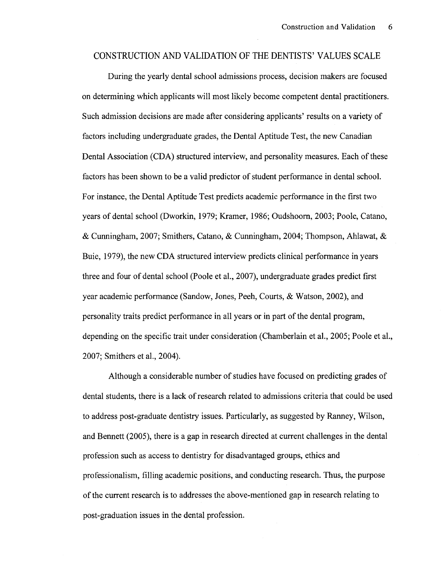### CONSTRUCTION AND VALIDATION OF THE DENTISTS' VALUES SCALE

During the yearly dental school admissions process, decision makers are focused on determining which applicants will most likely become competent dental practitioners. Such admission decisions are made after considering applicants' results on a variety of factors including undergraduate grades, the Dental Aptitude Test, the new Canadian Dental Association (CDA) structured interview, and personality measures. Each of these factors has been shown to be a valid predictor of student performance in dental school. For instance, the Dental Aptitude Test predicts academic performance in the first two years of dental school (Dworkin, 1979; Kramer, 1986; Oudshoorn, 2003; Poole, Catano, & Cunningham, 2007; Smithers, Catano, & Cunningham, 2004; Thompson, Ahlawat, & Buie, 1979), the new CDA structured interview predicts clinical performance in years three and four of dental school (Poole et al., 2007), undergraduate grades predict first year academic performance (Sandow, Jones, Peeh, Courts, & Watson, 2002), and personality traits predict performance in all years or in part of the dental program, depending on the specific trait under consideration (Chamberlain et al., 2005; Poole et al., 2007; Smithers et al., 2004).

Although a considerable number of studies have focused on predicting grades of dental students, there is a lack of research related to admissions criteria that could be used to address post-graduate dentistry issues. Particularly, as suggested by Ranney, Wilson, and Bennett (2005), there is a gap in research directed at current challenges in the dental profession such as access to dentistry for disadvantaged groups, ethics and professionalism, filling academic positions, and conducting research. Thus, the purpose of the current research is to addresses the above-mentioned gap in research relating to post-graduation issues in the dental profession.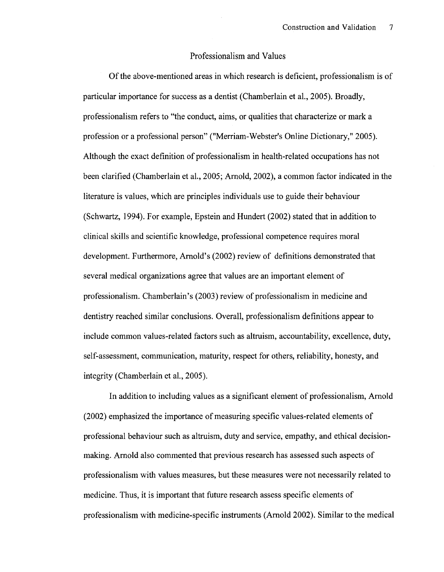### Professionalism and Values

Of the above-mentioned areas in which research is deficient, professionalism is of particular importance for success as a dentist (Chamberlain et al., 2005). Broadly, professionalism refers to "the conduct, aims, or qualities that characterize or mark a profession or a professional person" ("Merriam-Webster's Online Dictionary," 2005). Although the exact definition of professionalism in health-related occupations has not been clarified (Chamberlain et al., 2005; Arnold, 2002), a common factor indicated in the literature is values, which are principles individuals use to guide their behaviour (Schwartz, 1994). For example, Epstein and Hundert (2002) stated that in addition to clinical skills and scientific knowledge, professional competence requires moral development. Furthermore, Arnold's (2002) review of definitions demonstrated that several medical organizations agree that values are an important element of professionalism. Chamberlain's (2003) review of professionalism in medicine and dentistry reached similar conclusions. Overall, professionalism definitions appear to include common values-related factors such as altruism, accountability, excellence, duty, self-assessment, communication, maturity, respect for others, reliability, honesty, and integrity (Chamberlain et al., 2005).

In addition to including values as a significant element of professionalism, Arnold (2002) emphasized the importance of measuring specific values-related elements of professional behaviour such as altruism, duty and service, empathy, and ethical decisionmaking. Arnold also commented that previous research has assessed such aspects of professionalism with values measures, but these measures were not necessarily related to medicine. Thus, it is important that future research assess specific elements of professionalism with medicine-specific instruments (Arnold 2002). Similar to the medical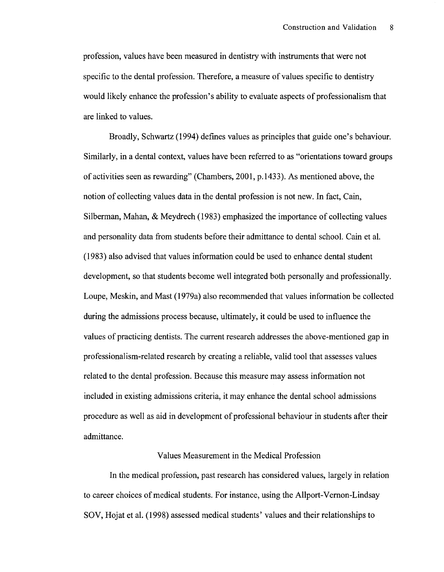profession, values have been measured in dentistry with instruments that were not specific to the dental profession. Therefore, a measure of values specific to dentistry would likely enhance the profession's ability to evaluate aspects of professionalism that are linked to values.

Broadly, Schwartz (1994) defines values as principles that guide one's behaviour. Similarly, in a dental context, values have been referred to as "orientations toward groups of activities seen as rewarding" (Chambers, 2001, p. 1433). As mentioned above, the notion of collecting values data in the dental profession is not new. In fact, Cain, Silberman, Mahan, & Meydrech (1983) emphasized the importance of collecting values and personality data from students before their admittance to dental school. Cain et al. (1983) also advised that values information could be used to enhance dental student development, so that students become well integrated both personally and professionally. Loupe, Meskin, and Mast (1979a) also recommended that values information be collected during the admissions process because, ultimately, it could be used to influence the values of practicing dentists. The current research addresses the above-mentioned gap in professionalism-related research by creating a reliable, valid tool that assesses values related to the dental profession. Because this measure may assess information not included in existing admissions criteria, it may enhance the dental school admissions procedure as well as aid in development of professional behaviour in students after their admittance.

### Values Measurement in the Medical Profession

In the medical profession, past research has considered values, largely in relation to career choices of medical students. For instance, using the Allport-Vernon-Lindsay SOV, Hojat et al. (1998) assessed medical students' values and their relationships to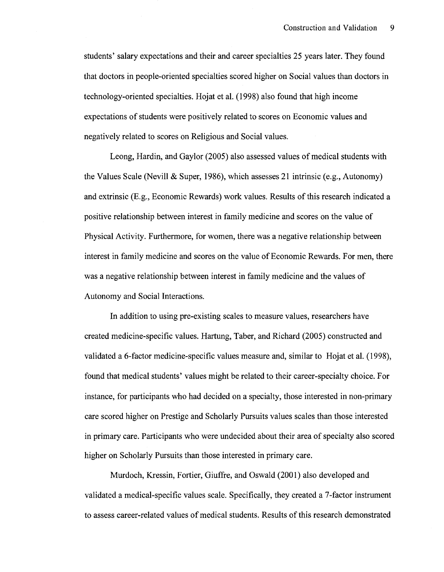students' salary expectations and their and career specialties 25 years later. They found that doctors in people-oriented specialties scored higher on Social values than doctors in technology-oriented specialties. Hojat et al. (1998) also found that high income expectations of students were positively related to scores on Economic values and negatively related to scores on Religious and Social values.

Leong, Hardin, and Gaylor (2005) also assessed values of medical students with the Values Scale (Nevill & Super, 1986), which assesses 21 intrinsic (e.g., Autonomy) and extrinsic (E.g., Economic Rewards) work values. Results of this research indicated a positive relationship between interest in family medicine and scores on the value of Physical Activity. Furthermore, for women, there was a negative relationship between interest in family medicine and scores on the value of Economic Rewards. For men, there was a negative relationship between interest in family medicine and the values of Autonomy and Social Interactions.

In addition to using pre-existing scales to measure values, researchers have created medicine-specific values. Hartung, Taber, and Richard (2005) constructed and validated a 6-factor medicine-specific values measure and, similar to Hojat et al. (1998), found that medical students' values might be related to their career-specialty choice. For instance, for participants who had decided on a specialty, those interested in non-primary care scored higher on Prestige and Scholarly Pursuits values scales than those interested in primary care. Participants who were undecided about their area of specialty also scored higher on Scholarly Pursuits than those interested in primary care.

Murdoch, Kressin, Fortier, Giuffre, and Oswald (2001) also developed and validated a medical-specific values scale. Specifically, they created a 7-factor instrument to assess career-related values of medical students. Results of this research demonstrated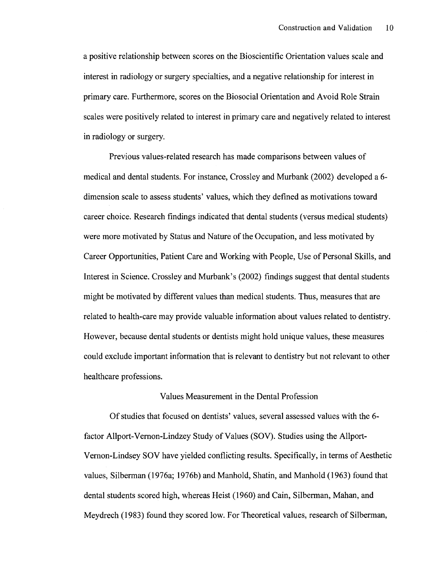a positive relationship between scores on the Bioscientific Orientation values scale and interest in radiology or surgery specialties, and a negative relationship for interest in primary care. Furthermore, scores on the Biosocial Orientation and Avoid Role Strain scales were positively related to interest in primary care and negatively related to interest in radiology or surgery.

Previous values-related research has made comparisons between values of medical and dental students. For instance, Crossley and Murbank (2002) developed a 6 dimension scale to assess students' values, which they defined as motivations toward career choice. Research findings indicated that dental students (versus medical students) were more motivated by Status and Nature of the Occupation, and less motivated by Career Opportunities, Patient Care and Working with People, Use of Personal Skills, and Interest in Science. Crossley and Murbank's (2002) findings suggest that dental students might be motivated by different values than medical students. Thus, measures that are related to health-care may provide valuable information about values related to dentistry. However, because dental students or dentists might hold unique values, these measures could exclude important information that is relevant to dentistry but not relevant to other healthcare professions.

#### Values Measurement in the Dental Profession

Of studies that focused on dentists' values, several assessed values with the 6 factor Allport-Vernon-Lindzey Study of Values (SOV). Studies using the Allport-Vernon-Lindsey SOV have yielded conflicting results. Specifically, in terms of Aesthetic values, Silberman (1976a; 1976b) and Manhold, Shatin, and Manhold (1963) found that dental students scored high, whereas Heist (1960) and Cain, Silberman, Mahan, and Meydrech (1983) found they scored low. For Theoretical values, research of Silberman,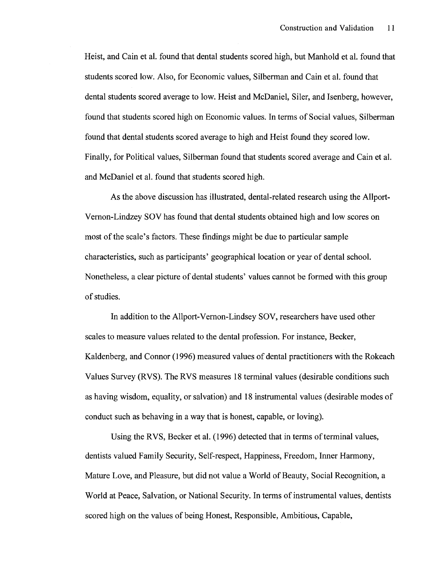Heist, and Cain et al. found that dental students scored high, but Manhold et al. found that students scored low. Also, for Economic values, Silberman and Cain et al. found that dental students scored average to low. Heist and McDaniel, Siler, and Isenberg, however, found that students scored high on Economic values. In terms of Social values, Silberman found that dental students scored average to high and Heist found they scored low. Finally, for Political values, Silberman found that students scored average and Cain et al. and McDaniel et al. found that students scored high.

As the above discussion has illustrated, dental-related research using the Allport-Vernon-Lindzey SOV has found that dental students obtained high and low scores on most of the scale's factors. These findings might be due to particular sample characteristics, such as participants' geographical location or year of dental school. Nonetheless, a clear picture of dental students' values cannot be formed with this group of studies.

In addition to the Allport-Vernon-Lindsey SOV, researchers have used other scales to measure values related to the dental profession. For instance, Becker, Kaldenberg, and Connor (1996) measured values of dental practitioners with the Rokeach Values Survey (RVS). The RVS measures 18 terminal values (desirable conditions such as having wisdom, equality, or salvation) and 18 instrumental values (desirable modes of conduct such as behaving in a way that is honest, capable, or loving).

Using the RVS, Becker et al. (1996) detected that in terms of terminal values, dentists valued Family Security, Self-respect, Happiness, Freedom, Inner Harmony, Mature Love, and Pleasure, but did not value a World of Beauty, Social Recognition, a World at Peace, Salvation, or National Security. In terms of instrumental values, dentists scored high on the values of being Honest, Responsible, Ambitious, Capable,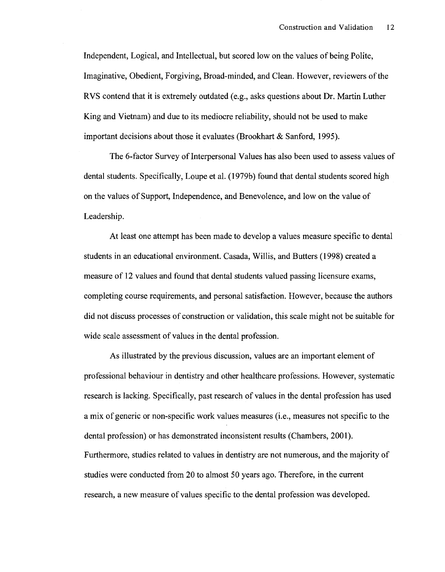Independent, Logical, and Intellectual, but scored low on the values of being Polite, Imaginative, Obedient, Forgiving, Broad-minded, and Clean. However, reviewers of the RVS contend that it is extremely outdated (e.g., asks questions about Dr. Martin Luther King and Vietnam) and due to its mediocre reliability, should not be used to make important decisions about those it evaluates (Brookhart & Sanford, 1995).

The 6-factor Survey of Interpersonal Values has also been used to assess values of dental students. Specifically, Loupe et al. (1979b) found that dental students scored high on the values of Support, Independence, and Benevolence, and low on the value of Leadership.

At least one attempt has been made to develop a values measure specific to dental students in an educational environment. Casada, Willis, and Butters (1998) created a measure of 12 values and found that dental students valued passing licensure exams, completing course requirements, and personal satisfaction. However, because the authors did not discuss processes of construction or validation, this scale might not be suitable for wide scale assessment of values in the dental profession.

As illustrated by the previous discussion, values are an important element of professional behaviour in dentistry and other healthcare professions. However, systematic research is lacking. Specifically, past research of values in the dental profession has used a mix of generic or non-specific work values measures (i.e., measures not specific to the dental profession) or has demonstrated inconsistent results (Chambers, 2001). Furthermore, studies related to values in dentistry are not numerous, and the majority of studies were conducted from 20 to almost 50 years ago. Therefore, in the current research, a new measure of values specific to the dental profession was developed.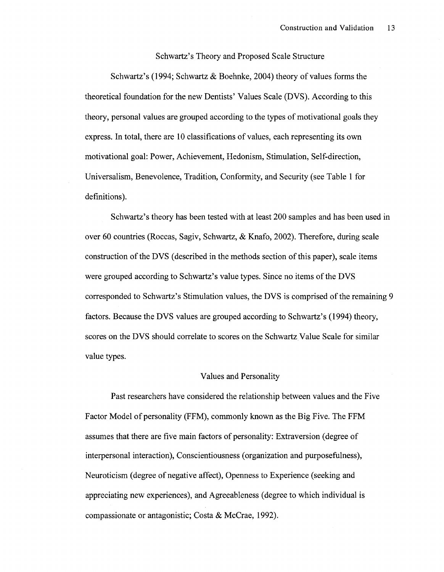Schwartz's Theory and Proposed Scale Structure

Schwartz's (1994; Schwartz & Boehnke, 2004) theory of values forms the theoretical foundation for the new Dentists' Values Scale (DVS). According to this theory, personal values are grouped according to the types of motivational goals they express. In total, there are 10 classifications of values, each representing its own motivational goal: Power, Achievement, Hedonism, Stimulation, Self-direction, Universalism, Benevolence, Tradition, Conformity, and Security (see Table 1 for definitions).

Schwartz's theory has been tested with at least 200 samples and has been used in over 60 countries (Roccas, Sagiv, Schwartz, & Knafo, 2002). Therefore, during scale construction of the DVS (described in the methods section of this paper), scale items were grouped according to Schwartz's value types. Since no items of the DVS corresponded to Schwartz's Stimulation values, the DVS is comprised of the remaining 9 factors. Because the DVS values are grouped according to Schwartz's (1994) theory, scores on the DVS should correlate to scores on the Schwartz Value Scale for similar value types.

#### Values and Personality

Past researchers have considered the relationship between values and the Five Factor Model of personality (FFM), commonly known as the Big Five. The FFM assumes that there are five main factors of personality: Extraversion (degree of interpersonal interaction), Conscientiousness (organization and purposefulness), Neuroticism (degree of negative affect), Openness to Experience (seeking and appreciating new experiences), and Agreeableness (degree to which individual is compassionate or antagonistic; Costa & McCrae, 1992).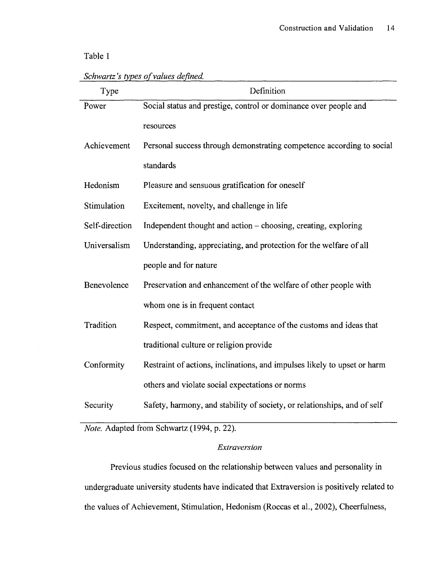### Table 1

| Type           | Definition                                                               |
|----------------|--------------------------------------------------------------------------|
| Power          | Social status and prestige, control or dominance over people and         |
|                | resources                                                                |
| Achievement    | Personal success through demonstrating competence according to social    |
|                | standards                                                                |
| Hedonism       | Pleasure and sensuous gratification for oneself                          |
| Stimulation    | Excitement, novelty, and challenge in life                               |
| Self-direction | Independent thought and action – choosing, creating, exploring           |
| Universalism   | Understanding, appreciating, and protection for the welfare of all       |
|                | people and for nature                                                    |
| Benevolence    | Preservation and enhancement of the welfare of other people with         |
|                | whom one is in frequent contact                                          |
| Tradition      | Respect, commitment, and acceptance of the customs and ideas that        |
|                | traditional culture or religion provide                                  |
| Conformity     | Restraint of actions, inclinations, and impulses likely to upset or harm |
|                | others and violate social expectations or norms                          |
| Security       | Safety, harmony, and stability of society, or relationships, and of self |

*Schwartz's types of values defined.* 

*Note.* Adapted from Schwartz (1994, p. 22).

### *Extroversion*

Previous studies focused on the relationship between values and personality in undergraduate university students have indicated that Extraversion is positively related to the values of Achievement, Stimulation, Hedonism (Roccas et al., 2002), Cheerfulness,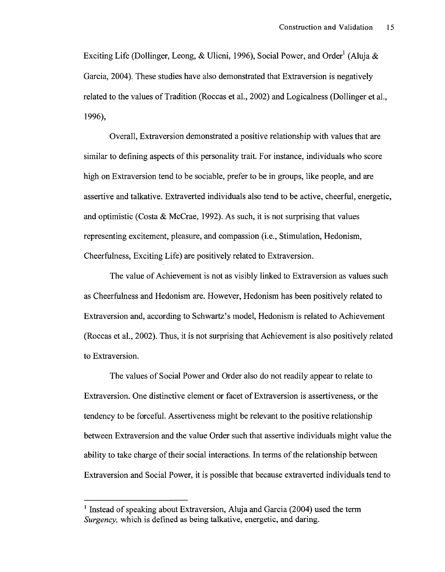Exciting Life (Dollinger, Leong, & Ulicni, 1996), Social Power, and Order<sup>1</sup> (Aluja & Garcia, 2004). These studies have also demonstrated that Extraversion is negatively related to the values of Tradition (Roccas et al., 2002) and Logicalness (Dollinger et al., 1996),

Overall, Extraversion demonstrated a positive relationship with values that are similar to defining aspects of this personality trait. For instance, individuals who score high on Extraversion tend to be sociable, prefer to be in groups, like people, and are assertive and talkative. Extraverted individuals also tend to be active, cheerful, energetic, and optimistic (Costa & McCrae, 1992). As such, it is not surprising that values representing excitement, pleasure, and compassion (i.e., Stimulation, Hedonism, Cheerfulness, Exciting Life) are positively related to Extraversion.

The value of Achievement is not as visibly linked to Extraversion as values such as Cheerfulness and Hedonism are. However, Hedonism has been positively related to Extraversion and, according to Schwartz's model, Hedonism is related to Achievement (Roccas et al., 2002). Thus, it is not surprising that Achievement is also positively related to Extraversion.

The values of Social Power and Order also do not readily appear to relate to Extraversion. One distinctive element or facet of Extraversion is assertiveness, or the tendency to be forceful. Assertiveness might be relevant to the positive relationship between Extraversion and the value Order such that assertive individuals might value the ability to take charge of their social interactions. In terms of the relationship between Extraversion and Social Power, it is possible that because extraverted individuals tend to

<sup>&</sup>lt;sup>1</sup> Instead of speaking about Extraversion, Aluja and Garcia (2004) used the term *Surgency,* which is defined as being talkative, energetic, and daring.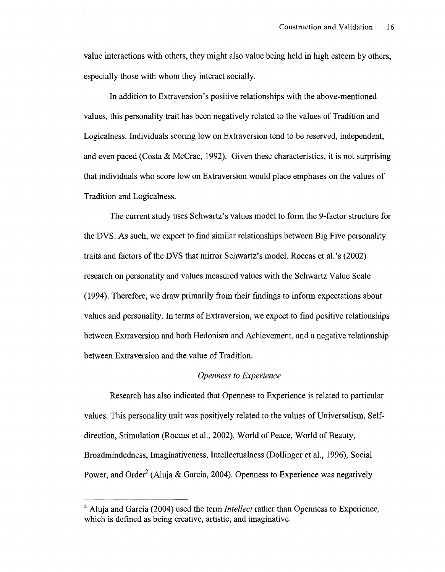value interactions with others, they might also value being held in high esteem by others, especially those with whom they interact socially.

In addition to Extraversion's positive relationships with the above-mentioned values, this personality trait has been negatively related to the values of Tradition and Logicalness. Individuals scoring low on Extraversion tend to be reserved, independent, and even paced (Costa & McCrae, 1992). Given these characteristics, it is not surprising that individuals who score low on Extraversion would place emphases on the values of Tradition and Logicalness.

The current study uses Schwartz's values model to form the 9-factor structure for the DVS. As such, we expect to find similar relationships between Big Five personality traits and factors of the DVS that mirror Schwartz's model. Roccas et al.'s (2002) research on personality and values measured values with the Schwartz Value Scale (1994). Therefore, we draw primarily from their findings to inform expectations about values and personality. In terms of Extraversion, we expect to find positive relationships between Extraversion and both Hedonism and Achievement, and a negative relationship between Extraversion and the value of Tradition.

### *Openness to Experience*

Research has also indicated that Openness to Experience is related to particular values. This personality trait was positively related to the values of Universalism, Selfdirection, Stimulation (Roccas et al., 2002), World of Peace, World of Beauty, Broadmindedness, Imaginativeness, Intellectualness (Dollinger et al., 1996), Social Power, and Order<sup>2</sup> (Aluja & Garcia, 2004). Openness to Experience was negatively

<sup>&</sup>lt;sup>2</sup> Aluja and Garcia (2004) used the term *Intellect* rather than Openness to Experience, which is defined as being creative, artistic, and imaginative.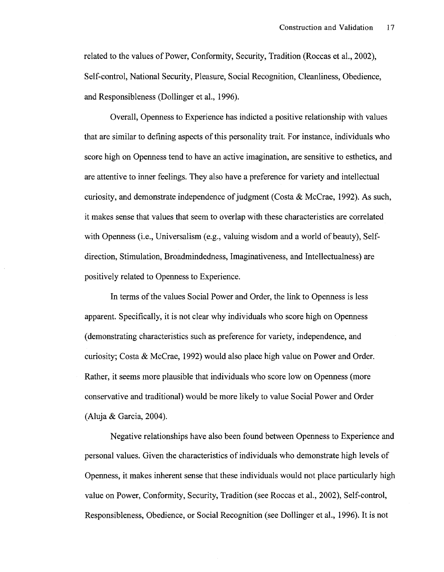related to the values of Power, Conformity, Security, Tradition (Roccas et al., 2002), Self-control, National Security, Pleasure, Social Recognition, Cleanliness, Obedience, and Responsibleness (Dollinger et al., 1996).

Overall, Openness to Experience has indicted a positive relationship with values that are similar to defining aspects of this personality trait. For instance, individuals who score high on Openness tend to have an active imagination, are sensitive to esthetics, and are attentive to inner feelings. They also have a preference for variety and intellectual curiosity, and demonstrate independence of judgment (Costa & McCrae, 1992). As such, it makes sense that values that seem to overlap with these characteristics are correlated with Openness (i.e., Universalism (e.g., valuing wisdom and a world of beauty), Selfdirection, Stimulation, Broadmindedness, Imaginativeness, and Intellectualness) are positively related to Openness to Experience.

In terms of the values Social Power and Order, the link to Openness is less apparent. Specifically, it is not clear why individuals who score high on Openness (demonstrating characteristics such as preference for variety, independence, and curiosity; Costa & McCrae, 1992) would also place high value on Power and Order. Rather, it seems more plausible that individuals who score low on Openness (more conservative and traditional) would be more likely to value Social Power and Order (Aluja & Garcia, 2004).

Negative relationships have also been found between Openness to Experience and personal values. Given the characteristics of individuals who demonstrate high levels of Openness, it makes inherent sense that these individuals would not place particularly high value on Power, Conformity, Security, Tradition (see Roccas et al., 2002), Self-control, Responsibleness, Obedience, or Social Recognition (see Dollinger et al., 1996). It is not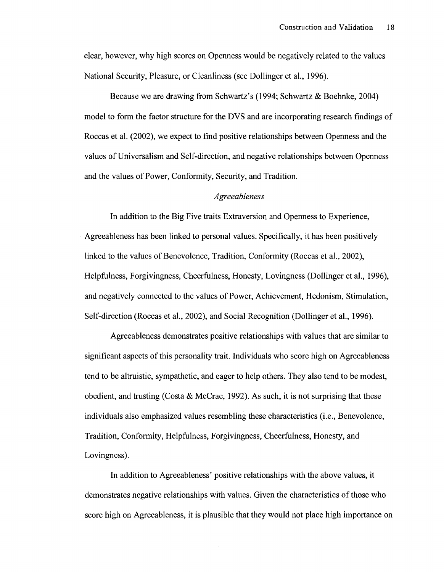clear, however, why high scores on Openness would be negatively related to the values National Security, Pleasure, or Cleanliness (see Dollinger et al., 1996).

Because we are drawing from Schwartz's (1994; Schwartz & Boehnke, 2004) model to form the factor structure for the DVS and are incorporating research findings of Roccas et al. (2002), we expect to find positive relationships between Openness and the values of Universalism and Self-direction, and negative relationships between Openness and the values of Power, Conformity, Security, and Tradition.

#### *Agreeableness*

In addition to the Big Five traits Extraversion and Openness to Experience, Agreeableness has been linked to personal values. Specifically, it has been positively linked to the values of Benevolence, Tradition, Conformity (Roccas et al., 2002), Helpfulness, Forgivingness, Cheerfulness, Honesty, Lovingness (Dollinger et al., 1996), and negatively connected to the values of Power, Achievement, Hedonism, Stimulation, Self-direction (Roccas et al., 2002), and Social Recognition (Dollinger et al., 1996).

Agreeableness demonstrates positive relationships with values that are similar to significant aspects of this personality trait. Individuals who score high on Agreeableness tend to be altruistic, sympathetic, and eager to help others. They also tend to be modest, obedient, and trusting (Costa & McCrae, 1992). As such, it is not surprising that these individuals also emphasized values resembling these characteristics (i.e., Benevolence, Tradition, Conformity, Helpfulness, Forgivingness, Cheerfulness, Honesty, and Lovingness).

In addition to Agreeableness' positive relationships with the above values, it demonstrates negative relationships with values. Given the characteristics of those who score high on Agreeableness, it is plausible that they would not place high importance on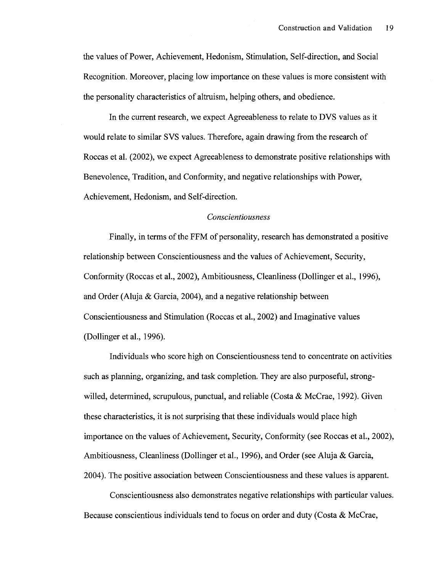the values of Power, Achievement, Hedonism, Stimulation, Self-direction, and Social Recognition. Moreover, placing low importance on these values is more consistent with the personality characteristics of altruism, helping others, and obedience.

In the current research, we expect Agreeableness to relate to DVS values as it would relate to similar SVS values. Therefore, again drawing from the research of Roccas et al. (2002), we expect Agreeableness to demonstrate positive relationships with Benevolence, Tradition, and Conformity, and negative relationships with Power, Achievement, Hedonism, and Self-direction.

### *Conscientiousness*

Finally, in terms of the FFM of personality, research has demonstrated a positive relationship between Conscientiousness and the values of Achievement, Security, Conformity (Roccas et al., 2002), Ambitiousness, Cleanliness (Dollinger et al., 1996), and Order (Aluja & Garcia, 2004), and a negative relationship between Conscientiousness and Stimulation (Roccas et al., 2002) and Imaginative values (Dollinger et al., 1996).

Individuals who score high on Conscientiousness tend to concentrate on activities such as planning, organizing, and task completion. They are also purposeful, strongwilled, determined, scrupulous, punctual, and reliable (Costa & McCrae, 1992). Given these characteristics, it is not surprising that these individuals would place high importance on the values of Achievement, Security, Conformity (see Roccas et al., 2002), Ambitiousness, Cleanliness (Dollinger et al., 1996), and Order (see Aluja & Garcia, 2004). The positive association between Conscientiousness and these values is apparent.

Conscientiousness also demonstrates negative relationships with particular values. Because conscientious individuals tend to focus on order and duty (Costa & McCrae,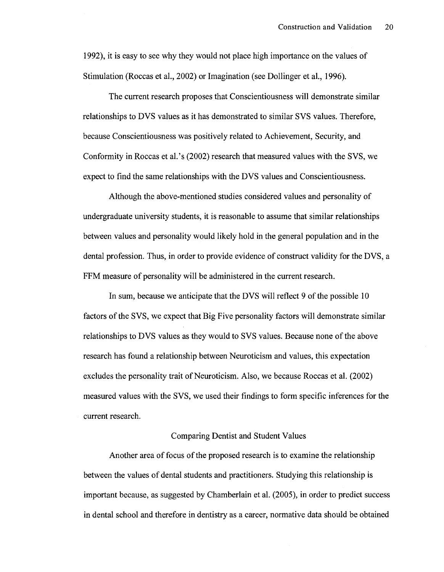1992), it is easy to see why they would not place high importance on the values of Stimulation (Roccas et al., 2002) or Imagination (see Dollinger et al., 1996).

The current research proposes that Conscientiousness will demonstrate similar relationships to DVS values as it has demonstrated to similar SVS values. Therefore, because Conscientiousness was positively related to Achievement, Security, and Conformity in Roccas et al.'s (2002) research that measured values with the SVS, we expect to find the same relationships with the DVS values and Conscientiousness.

Although the above-mentioned studies considered values and personality of undergraduate university students, it is reasonable to assume that similar relationships between values and personality would likely hold in the general population and in the dental profession. Thus, in order to provide evidence of construct validity for the DVS, a FFM measure of personality will be administered in the current research.

In sum, because we anticipate that the DVS will reflect 9 of the possible 10 factors of the SVS, we expect that Big Five personality factors will demonstrate similar relationships to DVS values as they would to SVS values. Because none of the above research has found a relationship between Neuroticism and values, this expectation excludes the personality trait of Neuroticism. Also, we because Roccas et al. (2002) measured values with the SVS, we used their findings to form specific inferences for the current research.

### Comparing Dentist and Student Values

Another area of focus of the proposed research is to examine the relationship between the values of dental students and practitioners. Studying this relationship is important because, as suggested by Chamberlain et al. (2005), in order to predict success in dental school and therefore in dentistry as a career, normative data should be obtained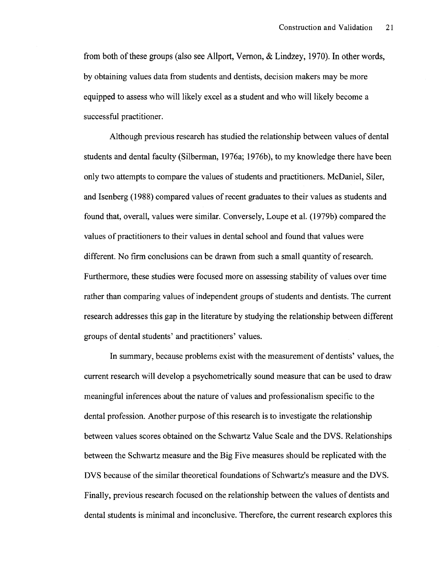from both of these groups (also see Allport, Vernon, & Lindzey, 1970). In other words, by obtaining values data from students and dentists, decision makers may be more equipped to assess who will likely excel as a student and who will likely become a successful practitioner.

Although previous research has studied the relationship between values of dental students and dental faculty (Silberman, 1976a; 1976b), to my knowledge there have been only two attempts to compare the values of students and practitioners. McDaniel, Siler, and Isenberg (1988) compared values of recent graduates to their values as students and found that, overall, values were similar. Conversely, Loupe et al. (1979b) compared the values of practitioners to their values in dental school and found that values were different. No firm conclusions can be drawn from such a small quantity of research. Furthermore, these studies were focused more on assessing stability of values over time rather than comparing values of independent groups of students and dentists. The current research addresses this gap in the literature by studying the relationship between different groups of dental students' and practitioners' values.

In summary, because problems exist with the measurement of dentists' values, the current research will develop a psychometrically sound measure that can be used to draw meaningful inferences about the nature of values and professionalism specific to the dental profession. Another purpose of this research is to investigate the relationship between values scores obtained on the Schwartz Value Scale and the DVS. Relationships between the Schwartz measure and the Big Five measures should be replicated with the DVS because of the similar theoretical foundations of Schwartz's measure and the DVS. Finally, previous research focused on the relationship between the values of dentists and dental students is minimal and inconclusive. Therefore, the current research explores this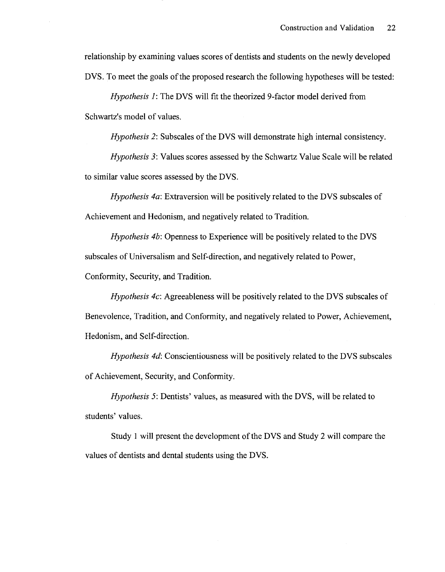relationship by examining values scores of dentists and students on the newly developed DVS. To meet the goals of the proposed research the following hypotheses will be tested:

*Hypothesis 1*: The DVS will fit the theorized 9-factor model derived from Schwartz's model of values.

*Hypothesis 2:* Subscales of the DVS will demonstrate high internal consistency.

*Hypothesis 3:* Values scores assessed by the Schwartz Value Scale will be related to similar value scores assessed by the DVS.

*Hypothesis 4a:* Extraversion will be positively related to the DVS subscales of Achievement and Hedonism, and negatively related to Tradition.

*Hypothesis 4b:* Openness to Experience will be positively related to the DVS subscales of Universalism and Self-direction, and negatively related to Power, Conformity, Security, and Tradition.

*Hypothesis 4c:* Agreeableness will be positively related to the DVS subscales of Benevolence, Tradition, and Conformity, and negatively related to Power, Achievement, Hedonism, and Self-direction.

*Hypothesis 4d:* Conscientiousness will be positively related to the DVS subscales of Achievement, Security, and Conformity.

*Hypothesis 5:* Dentists' values, as measured with the DVS, will be related to students' values.

Study 1 will present the development of the DVS and Study 2 will compare the values of dentists and dental students using the DVS.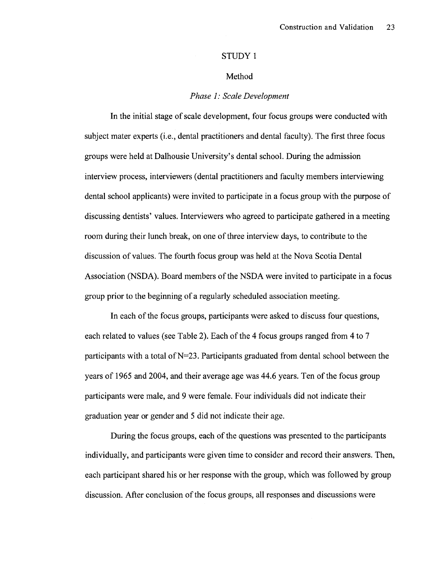### STUDY 1

### Method

### *Phase 1: Scale Development*

In the initial stage of scale development, four focus groups were conducted with subject mater experts (i.e., dental practitioners and dental faculty). The first three focus groups were held at Dalhousie University's dental school. During the admission interview process, interviewers (dental practitioners and faculty members interviewing dental school applicants) were invited to participate in a focus group with the purpose of discussing dentists' values. Interviewers who agreed to participate gathered in a meeting room during their lunch break, on one of three interview days, to contribute to the discussion of values. The fourth focus group was held at the Nova Scotia Dental Association (NSDA). Board members of the NSDA were invited to participate in a focus group prior to the beginning of a regularly scheduled association meeting.

In each of the focus groups, participants were asked to discuss four questions, each related to values (see Table 2). Each of the 4 focus groups ranged from 4 to 7 participants with a total of N=23. Participants graduated from dental school between the years of 1965 and 2004, and their average age was 44.6 years. Ten of the focus group participants were male, and 9 were female. Four individuals did not indicate their graduation year or gender and 5 did not indicate their age.

During the focus groups, each of the questions was presented to the participants individually, and participants were given time to consider and record their answers. Then, each participant shared his or her response with the group, which was followed by group discussion. After conclusion of the focus groups, all responses and discussions were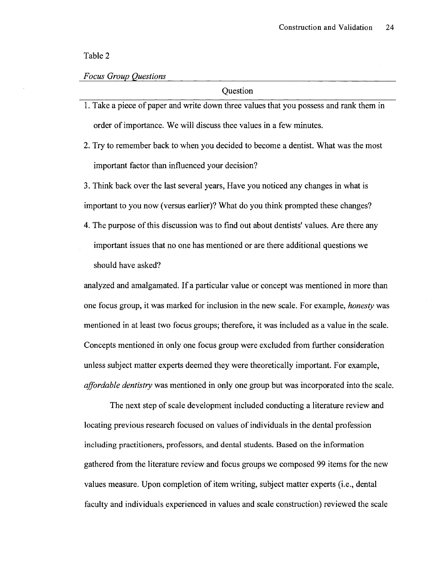Table 2

### *Focus Group Questions*

**Ouestion** 

- 1. Take a piece of paper and write down three values that you possess and rank them in order of importance. We will discuss thee values in a few minutes.
- 2. Try to remember back to when you decided to become a dentist. What was the most important factor than influenced your decision?

3. Think back over the last several years, Have you noticed any changes in what is important to you now (versus earlier)? What do you think prompted these changes?

4. The purpose of this discussion was to find out about dentists' values. Are there any important issues that no one has mentioned or are there additional questions we should have asked?

analyzed and amalgamated. If a particular value or concept was mentioned in more than one focus group, it was marked for inclusion in the new scale. For example, *honesty* was mentioned in at least two focus groups; therefore, it was included as a value in the scale. Concepts mentioned in only one focus group were excluded from further consideration unless subject matter experts deemed they were theoretically important. For example, *affordable dentistry* was mentioned in only one group but was incorporated into the scale.

The next step of scale development included conducting a literature review and locating previous research focused on values of individuals in the dental profession including practitioners, professors, and dental students. Based on the information gathered from the literature review and focus groups we composed 99 items for the new values measure. Upon completion of item writing, subject matter experts (i.e., dental faculty and individuals experienced in values and scale construction) reviewed the scale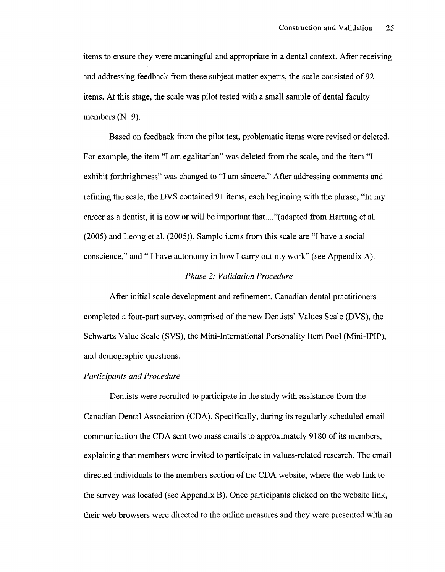items to ensure they were meaningful and appropriate in a dental context. After receiving and addressing feedback from these subject matter experts, the scale consisted of 92 items. At this stage, the scale was pilot tested with a small sample of dental faculty members (N=9).

Based on feedback from the pilot test, problematic items were revised or deleted. For example, the item "I am egalitarian" was deleted from the scale, and the item "I exhibit forthrightness" was changed to "I am sincere." After addressing comments and refining the scale, the DVS contained 91 items, each beginning with the phrase, "In my career as a dentist, it is now or will be important that...."(adapted from Hartung et al. (2005) and Leong et al. (2005)). Sample items from this scale are "I have a social conscience," and " I have autonomy in how I carry out my work" (see Appendix A).

### *Phase 2: Validation Procedure*

After initial scale development and refinement, Canadian dental practitioners completed a four-part survey, comprised of the new Dentists' Values Scale (DVS), the Schwartz Value Scale (SVS), the Mini-International Personality Item Pool (Mini-IPIP), and demographic questions.

### *Participants and Procedure*

Dentists were recruited to participate in the study with assistance from the Canadian Dental Association (CDA). Specifically, during its regularly scheduled email communication the CDA sent two mass emails to approximately 9180 of its members, explaining that members were invited to participate in values-related research. The email directed individuals to the members section of the CDA website, where the web link to the survey was located (see Appendix B). Once participants clicked on the website link, their web browsers were directed to the online measures and they were presented with an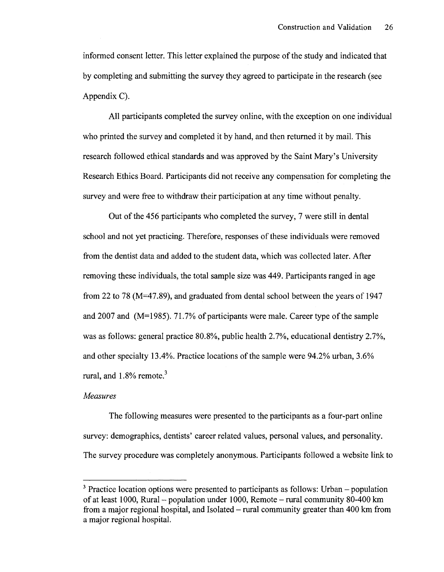informed consent letter. This letter explained the purpose of the study and indicated that by completing and submitting the survey they agreed to participate in the research (see Appendix C).

All participants completed the survey online, with the exception on one individual who printed the survey and completed it by hand, and then returned it by mail. This research followed ethical standards and was approved by the Saint Mary's University Research Ethics Board. Participants did not receive any compensation for completing the survey and were free to withdraw their participation at any time without penalty.

Out of the 456 participants who completed the survey, 7 were still in dental school and not yet practicing. Therefore, responses of these individuals were removed from the dentist data and added to the student data, which was collected later. After removing these individuals, the total sample size was 449. Participants ranged in age from 22 to 78 (M=47.89), and graduated from dental school between the years of 1947 and 2007 and (M=1985). 71.7% of participants were male. Career type of the sample was as follows: general practice 80.8%, public health 2.7%, educational dentistry 2.7%, and other specialty 13.4%. Practice locations of the sample were 94.2% urban, 3.6% rural, and  $1.8\%$  remote.<sup>3</sup>

### *Measures*

The following measures were presented to the participants as a four-part online survey: demographics, dentists' career related values, personal values, and personality. The survey procedure was completely anonymous. Participants followed a website link to

 $3$  Practice location options were presented to participants as follows: Urban  $-$  population of at least 1000, Rural - population under 1000, Remote - rural community 80-400 km from a major regional hospital, and Isolated  $-$  rural community greater than 400 km from a major regional hospital.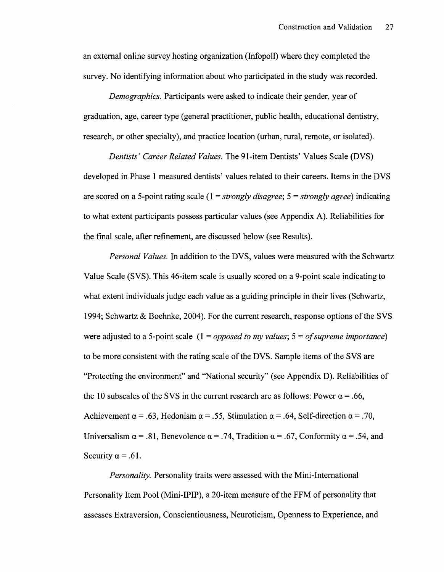an external online survey hosting organization (Infopoll) where they completed the survey. No identifying information about who participated in the study was recorded.

*Demographics.* Participants were asked to indicate their gender, year of graduation, age, career type (general practitioner, public health, educational dentistry, research, or other specialty), and practice location (urban, rural, remote, or isolated).

*Dentists' Career Related Values.* The 91-item Dentists' Values Scale (DVS) developed in Phase 1 measured dentists' values related to their careers. Items in the DVS are scored on a 5-point rating scale (1 = *strongly disagree;* 5 = *strongly agree)* indicating to what extent participants possess particular values (see Appendix A). Reliabilities for the final scale, after refinement, are discussed below (see Results).

*Personal Values.* In addition to the DVS, values were measured with the Schwartz Value Scale (SVS). This 46-item scale is usually scored on a 9-point scale indicating to what extent individuals judge each value as a guiding principle in their lives (Schwartz, 1994; Schwartz & Boehnke, 2004). For the current research, response options of the SVS were adjusted to a 5-point scale (1 = *opposed to my values;* 5 = *of supreme importance)*  to be more consistent with the rating scale of the DVS. Sample items of the SVS are "Protecting the environment" and "National security" (see Appendix D). Reliabilities of the 10 subscales of the SVS in the current research are as follows: Power  $\alpha = .66$ , Achievement  $\alpha = .63$ , Hedonism  $\alpha = .55$ , Stimulation  $\alpha = .64$ , Self-direction  $\alpha = .70$ , Universalism  $\alpha = .81$ , Benevolence  $\alpha = .74$ , Tradition  $\alpha = .67$ , Conformity  $\alpha = .54$ , and Security  $\alpha = .61$ .

*Personality.* Personality traits were assessed with the Mini-International Personality Item Pool (Mini-IPIP), a 20-item measure of the FFM of personality that assesses Extraversion, Conscientiousness, Neuroticism, Openness to Experience, and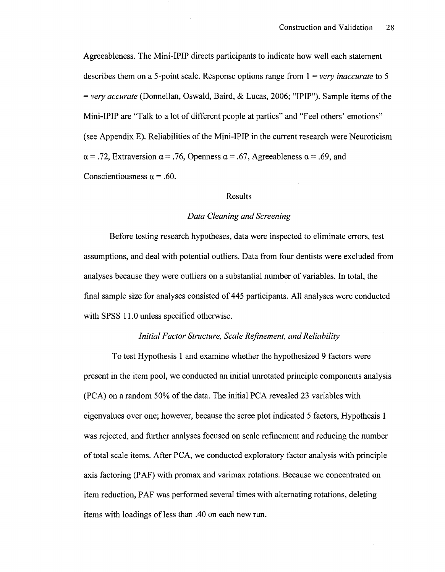Agreeableness. The Mini-IPIP directs participants to indicate how well each statement describes them on a 5-point scale. Response options range from 1 = *very inaccurate* to 5 = *very accurate* (Donnellan, Oswald, Baird, & Lucas, 2006; "IPIP"). Sample items of the Mini-IPIP are "Talk to a lot of different people at parties" and "Feel others' emotions" (see Appendix E). Reliabilities of the Mini-IPIP in the current research were Neuroticism  $\alpha = .72$ , Extraversion  $\alpha = .76$ , Openness  $\alpha = .67$ , Agreeableness  $\alpha = .69$ , and Conscientiousness  $\alpha = .60$ .

### Results

#### *Data Cleaning and Screening*

Before testing research hypotheses, data were inspected to eliminate errors, test assumptions, and deal with potential outliers. Data from four dentists were excluded from analyses because they were outliers on a substantial number of variables. In total, the final sample size for analyses consisted of 445 participants. All analyses were conducted with SPSS 11.0 unless specified otherwise.

### *Initial Factor Structure, Scale Refinement, and Reliability*

To test Hypothesis 1 and examine whether the hypothesized 9 factors were present in the item pool, we conducted an initial unrotated principle components analysis (PC A) on a random 50% of the data. The initial PC A revealed 23 variables with eigenvalues over one; however, because the scree plot indicated 5 factors, Hypothesis 1 was rejected, and further analyses focused on scale refinement and reducing the number of total scale items. After PCA, we conducted exploratory factor analysis with principle axis factoring (PAF) with promax and varimax rotations. Because we concentrated on item reduction, PAF was performed several times with alternating rotations, deleting items with loadings of less than .40 on each new run.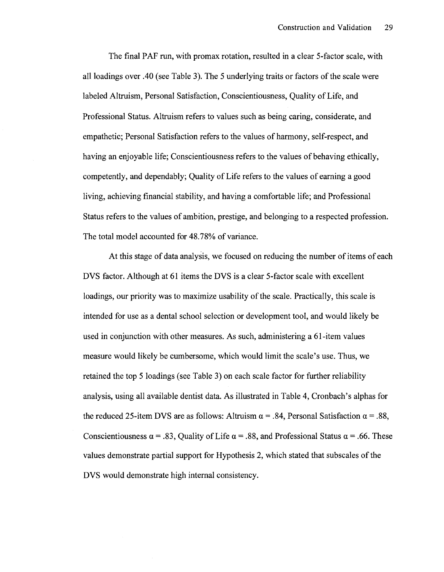The final PAF run, with promax rotation, resulted in a clear 5-factor scale, with all loadings over .40 (see Table 3). The 5 underlying traits or factors of the scale were labeled Altruism, Personal Satisfaction, Conscientiousness, Quality of Life, and Professional Status. Altruism refers to values such as being caring, considerate, and empathetic; Personal Satisfaction refers to the values of harmony, self-respect, and having an enjoyable life; Conscientiousness refers to the values of behaving ethically, competently, and dependably; Quality of Life refers to the values of earning a good living, achieving financial stability, and having a comfortable life; and Professional Status refers to the values of ambition, prestige, and belonging to a respected profession. The total model accounted for 48.78% of variance.

At this stage of data analysis, we focused on reducing the number of items of each DVS factor. Although at 61 items the DVS is a clear 5-factor scale with excellent loadings, our priority was to maximize usability of the scale. Practically, this scale is intended for use as a dental school selection or development tool, and would likely be used in conjunction with other measures. As such, administering a 61-item values measure would likely be cumbersome, which would limit the scale's use. Thus, we retained the top 5 loadings (see Table 3) on each scale factor for further reliability analysis, using all available dentist data. As illustrated in Table 4, Cronbach's alphas for the reduced 25-item DVS are as follows: Altruism  $\alpha = .84$ , Personal Satisfaction  $\alpha = .88$ , Conscientiousness  $\alpha = .83$ , Quality of Life  $\alpha = .88$ , and Professional Status  $\alpha = .66$ . These values demonstrate partial support for Hypothesis 2, which stated that subscales of the DVS would demonstrate high internal consistency.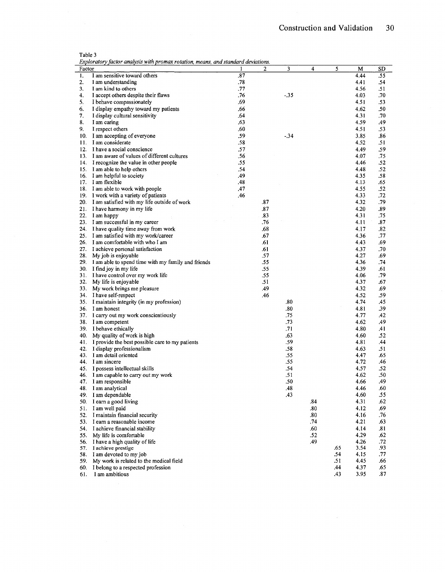|  |  |  |  |  |  |  |  |  | Exploratory factor analysis with promax rotation, means, and standard deviations. |
|--|--|--|--|--|--|--|--|--|-----------------------------------------------------------------------------------|
|--|--|--|--|--|--|--|--|--|-----------------------------------------------------------------------------------|

| Factor |                                                           | $\mathbf{1}$ | $\overline{2}$ | 3          | 4   | 5   | M            | <b>SD</b>  |
|--------|-----------------------------------------------------------|--------------|----------------|------------|-----|-----|--------------|------------|
| 1.     | I am sensitive toward others                              | .87          |                |            |     |     | 4.44         | .55        |
| 2.     | 1 am understanding                                        | .78          |                |            |     |     | 4.41         | .54        |
| 3.     | I am kind to others                                       | .77          |                |            |     |     | 4.56         | .51        |
| 4.     | I accept others despite their flaws                       | .76          |                | $-35$      |     |     | 4.03         | .70        |
| 5.     | I behave compassionately                                  | .69          |                |            |     |     | 4.51         | .53        |
| 6.     | I display empathy toward my patients                      | .66          |                |            |     |     | 4.62         | .50        |
| 7.     | I display cultural sensitivity                            | .64          |                |            |     |     | 4.31         | .70        |
| 8.     | I am caring                                               | .63          |                |            |     |     | 4.59         | .49        |
| 9.     | I respect others                                          | .60          |                |            |     |     | 4.51         | .53        |
| 10.    | I am accepting of everyone                                | .59          |                | $-34$      |     |     | 3.85         | .86        |
| 11.    | I am considerate                                          | .58          |                |            |     |     | 4.52         | .51        |
| 12.    | I have a social conscience                                | .57          |                |            |     |     | 4.49         | .59        |
|        | 13. I am aware of values of different cultures            | .56          |                |            |     |     | 4.07         | .75        |
|        | 14. I recognize the value in other people                 | .55          |                |            |     |     | 4.46         | .52        |
|        | 15. I am able to help others                              | .54          |                |            |     |     | 4.48         | .52        |
|        | 16. I am helpful to society                               | .49          |                |            |     |     | 4.35         | .58        |
|        | 17. I am flexible                                         | .48          |                |            |     |     | 4.13         | .65        |
| 18.    | I am able to work with people                             | .47          |                |            |     |     | 4.55         | .52        |
|        | 19. I work with a variety of patients                     | .46          |                |            |     |     | 4.33         | .72        |
|        | 20. I am satisfied with my life outside of work           |              | .87            |            |     |     | 4.32         | .79        |
| 21.    | I have harmony in my life                                 |              | .87            |            |     |     | 4.20         | .89        |
| 22.    | I am happy                                                |              | .83            |            |     |     | 4.31         | .75        |
|        | 23. I am successful in my career                          |              | .76            |            |     |     | 4.11         | .87        |
| 24.    | I have quality time away from work                        |              | .68            |            |     |     | 4.17         | .82        |
|        | 25. I am satisfied with my work/career                    |              | .67            |            |     |     | 4.36         | .77        |
|        | 26. I am comfortable with who I am                        |              | .61            |            |     |     | 4.43         | .69        |
|        | 27. I achieve personal satisfaction                       |              | .61            |            |     |     | 4.37         | .70        |
| 28.    | My job is enjoyable                                       |              | .57            |            |     |     | 4.27         | .69        |
|        | 29. 1 am able to spend time with my family and friends    |              | .55            |            |     |     | 4.36         | .74        |
| 30.    | I find joy in my life                                     |              | .55            |            |     |     | 4.39         | .61        |
| 31.    | I have control over my work life                          |              | .55            |            |     |     | 4.06         | .79        |
| 32.    | My life is enjoyable                                      |              | .51            |            |     |     | 4.37         | .67        |
| 33.    | My work brings me pleasure                                |              | .49            |            |     |     | 4.32         | .69        |
| 34.    | I have self-respect                                       |              | .46            |            |     |     | 4.52         | .59        |
|        | 35. I maintain integrity (in my profession)               |              |                | .80        |     |     | 4.74         | .45        |
|        | 36. I am honest                                           |              |                | .80        |     |     | 4.81         | .39        |
|        | 37. I carry out my work conscientiously                   |              |                | .75        |     |     | 4.77         | .42        |
|        | 38. I am competent                                        |              |                | .73        |     |     | 4.62         | .49        |
|        | 39. I behave ethically                                    |              |                | .71        |     |     | 4.80         | .41        |
| 40.    | My quality of work is high                                |              |                | .63        |     |     | 4.60         | .52        |
| 41.    | I provide the best possible care to my patients           |              |                | .59        |     |     | 4.81         | .44        |
| 42.    | I display professionalism                                 |              |                | .58        |     |     | 4.63         | .51        |
|        | 43. I am detail oriented                                  |              |                | .55        |     |     | 4.47<br>4.72 | .65        |
|        | 44. I am sincere                                          |              |                | .55        |     |     | 4.57         | .46<br>.52 |
| 46.    | 45. I possess intellectual skills                         |              |                | .54<br>.51 |     |     | 4.62         | .50        |
|        | I am capable to carry out my work<br>47. I am responsible |              |                | .50        |     |     | 4.66         | .49        |
|        | 48. I am analytical                                       |              |                | .48        |     |     | 4.46         | .60        |
|        | 49. I am dependable                                       |              |                | .43        |     |     | 4.60         | .55        |
|        | 50. I earn a good living                                  |              |                |            | .84 |     | 4.31         | .62        |
| 51.    | I am well paid                                            |              |                |            | .80 |     | 4.12         | .69        |
| 52.    | I maintain financial security                             |              |                |            | .80 |     | 4.16         | .76        |
|        | 53. I earn a reasonable income                            |              |                |            | .74 |     | 4.21         | .63        |
| 54.    | I achieve financial stability                             |              |                |            | .60 |     | 4.14         | .81        |
| 55.    | My life is comfortable                                    |              |                |            | .52 |     | 4.29         | .62        |
| 56.    | I have a high quality of life                             |              |                |            | .49 |     | 4.26         | .72        |
| 57.    | I achieve prestige                                        |              |                |            |     | .65 | 3.54         | .93        |
| 58.    | I am devoted to my job                                    |              |                |            |     | .54 | 4.15         | .77        |
| 59.    | My work is related to the medical field                   |              |                |            |     | .51 | 4.45         | .66        |
| 60.    | I belong to a respected profession                        |              |                |            |     | .44 | 4.37         | .65        |
| 61.    | I am ambitious                                            |              |                |            |     | .43 | 3.95         | .87        |
|        |                                                           |              |                |            |     |     |              |            |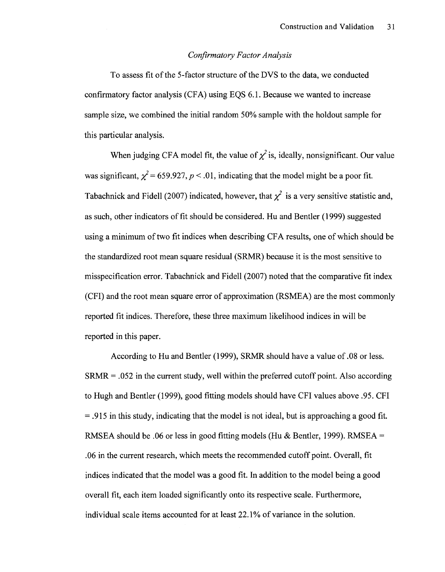### *Confirmatory Factor Analysis*

To assess fit of the 5-factor structure of the DVS to the data, we conducted confirmatory factor analysis (CFA) using EQS 6.1. Because we wanted to increase sample size, we combined the initial random 50% sample with the holdout sample for this particular analysis.

When judging CFA model fit, the value of  $\chi^2$  is, ideally, nonsignificant. Our value was significant,  $\chi^2$  = 659.927, *p* < .01, indicating that the model might be a poor fit. Tabachnick and Fidell (2007) indicated, however, that  $\chi^2$  is a very sensitive statistic and, as such, other indicators of fit should be considered. Hu and Bentler (1999) suggested using a minimum of two fit indices when describing CFA results, one of which should be the standardized root mean square residual (SRMR) because it is the most sensitive to misspecification error. Tabachnick and Fidell (2007) noted that the comparative fit index (CFI) and the root mean square error of approximation (RSMEA) are the most commonly reported fit indices. Therefore, these three maximum likelihood indices in will be reported in this paper.

According to Hu and Bentler (1999), SRMR should have a value of .08 or less.  $SRMR = .052$  in the current study, well within the preferred cutoff point. Also according to Hugh and Bentler (1999), good fitting models should have CFI values above .95. CFI = .915 in this study, indicating that the model is not ideal, but is approaching a good fit. RMSEA should be .06 or less in good fitting models (Hu & Bentler, 1999). RMSEA  $=$ .06 in the current research, which meets the recommended cutoff point. Overall, fit indices indicated that the model was a good fit. In addition to the model being a good overall fit, each item loaded significantly onto its respective scale. Furthermore, individual scale items accounted for at least 22.1% of variance in the solution.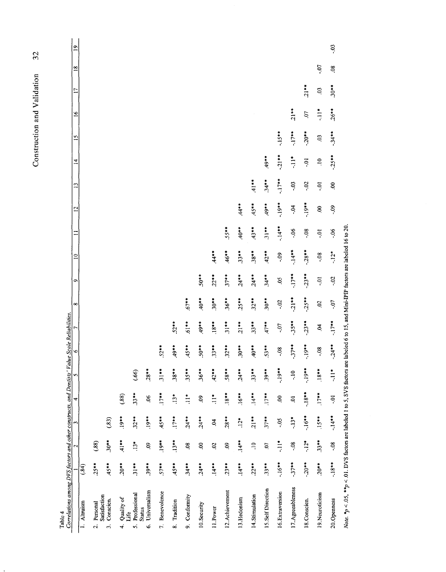32 Construction and Validation 32 Construction and Validation

| Correlations among DVS factors and other constructs, and Dentists' Value Scale Reliabilities.<br>Table 4 |          |                     |          |                |                      |                |         |                |                                                              |          |          |                |                     |            |               |               |                     |                |                 |
|----------------------------------------------------------------------------------------------------------|----------|---------------------|----------|----------------|----------------------|----------------|---------|----------------|--------------------------------------------------------------|----------|----------|----------------|---------------------|------------|---------------|---------------|---------------------|----------------|-----------------|
|                                                                                                          |          | 2                   | 3        | 4              | S                    | $\circ$        |         | $\infty$       | ᡋ                                                            | $\Xi$    |          | $\overline{2}$ | $\mathbf{r}$        | $\vec{A}$  | $\frac{5}{2}$ | $\mathbf{e}$  | n                   | $\frac{8}{18}$ | $\overline{19}$ |
| 1. Altruism                                                                                              | (.84)    |                     |          |                |                      |                |         |                |                                                              |          |          |                |                     |            |               |               |                     |                |                 |
| Satisfaction<br>Personal<br>$\overline{a}$                                                               | $25**$   | (.88)               |          |                |                      |                |         |                |                                                              |          |          |                |                     |            |               |               |                     |                |                 |
| Conscien.<br>$\ddot{\cdot}$                                                                              | $45**$   | $30**$              | (83)     |                |                      |                |         |                |                                                              |          |          |                |                     |            |               |               |                     |                |                 |
| Quality of<br>Life<br>4.                                                                                 | $20**$   | $41**$              | $.19***$ | (.88)          |                      |                |         |                |                                                              |          |          |                |                     |            |               |               |                     |                |                 |
| Professional<br>s.                                                                                       | $31**$   | $13*$               | $32**$   | $33**$         | (66)                 |                |         |                |                                                              |          |          |                |                     |            |               |               |                     |                |                 |
| Universalism<br><b>Status</b><br>Ġ                                                                       | $39***$  | 60.                 | $.19***$ | 66             | $.28**$              |                |         |                |                                                              |          |          |                |                     |            |               |               |                     |                |                 |
| 7. Benevolence                                                                                           | $57***$  | $.19**$             | $45**$   | $17**$         | $31**$               | $52**$         |         |                |                                                              |          |          |                |                     |            |               |               |                     |                |                 |
| Tradition<br>$\infty$                                                                                    | $45**$   | $.13***$            | $.17**$  | $13*$          | $.38***$             | $494*$         | $52**$  |                |                                                              |          |          |                |                     |            |               |               |                     |                |                 |
| 9. Conformity                                                                                            | $34***$  | 08                  | $.24***$ | $\frac{1}{11}$ | $35 + 7$             | $45**$         | $.61**$ | $.67***$       |                                                              |          |          |                |                     |            |               |               |                     |                |                 |
| 10. Security                                                                                             | $24**$   | S.                  | $.24**$  | $\mathbf{e}$   | $.36***$             | $50**$         | $49**$  | $*10**$        | $50**$                                                       |          |          |                |                     |            |               |               |                     |                |                 |
| 11.Power                                                                                                 | $.14***$ | $\ddot{\mathrm{c}}$ | 5        | $\ddot{=}$     | $42**$               | $33**$         | $18***$ | $.30**$        | $.22**$                                                      | $44+7$   |          |                |                     |            |               |               |                     |                |                 |
| 12. Achievement                                                                                          | $23**$   | $\ddot{\mathrm{6}}$ | $28**$   | $.18***$       | $.58***$             | $32***$        | $31**$  | $36***$        | $37**$                                                       | $46**$   | $.55**$  |                |                     |            |               |               |                     |                |                 |
| 13.Hedonism                                                                                              | $.14***$ | $14**$              | $12*$    | $16***$        | $24**$               | $30**$         | $21***$ | $25**$         | $24***$                                                      | $33**$   | $*10*$   | $44**$         |                     |            |               |               |                     |                |                 |
| 14. Stimulation                                                                                          | $.22***$ | $\Xi$               | $21**$   | $.14***$       | $33**$               | $*10+$         | $33**$  | $32***$        | $.24***$                                                     | $.38***$ | $43**$   | $45**$         | $41**$              |            |               |               |                     |                |                 |
| 15.Self Direction                                                                                        | $33***$  | $\overline{c}$      | $37**$   | $.17***$       | $39**$               | $53**$         | $47**$  | $30**$         | $34**$                                                       | $42**$   | $31***$  | $49**$         | $34***$             | $49***$    |               |               |                     |                |                 |
| 16. Extraversion                                                                                         | $-16***$ | $\frac{1}{1}$       | $50 -$   | $\mathbf{S}$   | $-19***$             | $-08$          | $-0.7$  | $-02$          | 50                                                           | $-0.9$   | $-14***$ | $-19***$       | $.17***$            | $-21**$    | $.15***$      |               |                     |                |                 |
| 17. Agreeableness                                                                                        | $-37**$  | $-0.8$              | $-13*$   | ą              | $-10$                | $-37**$        | $35***$ | $-21**$        | $.17***$                                                     | $14**$   | $-06$    | ъò.            | ë.                  | $\ddot{=}$ | $-17**$       | $21**$        |                     |                |                 |
| 18. Conscien.                                                                                            | $.20***$ | $-12*$              | $16***$  | $-18$          | $-19**$              | $-19**$        | $-23**$ | $-25***$       | $-23**$                                                      | $-28$ ** | $-0.8$   | $**61$ .       | .02                 | io-        | $.20**$       | CO.           | $21**$              |                |                 |
| 19. Neuroticism                                                                                          | $20**$   | $33**$              | $.15**$  | $.17***$       | $.18***$             | $\frac{80}{1}$ | Ŕ       | $\mathfrak{S}$ | $\ddot{0}$ .                                                 | 0.8      | <b>p</b> | $\mathbf{e}$   | $\ddot{0}$ .        | $\Xi$      | $\ddot{0}$    | $\frac{1}{2}$ | $\ddot{\mathrm{c}}$ | Ú.             |                 |
| 20. Openness                                                                                             | $-18$ ** | .08                 | $-14$ ** | ៊ុ             | $\frac{1}{\sqrt{2}}$ | $-24**$        | $-17**$ | -.07           | $-02$                                                        | $-12*$   | $-06$    | -.09           | $\ddot{\mathrm{6}}$ | $-25**$    | $-34***$      | $.26***$      | $30**$              | $\ddot{\rm o}$ | .03             |
| Note. $*_p$ < .05, $**_p$ < .01. DVS factors are labeled 1 to 5, SVS factors are                         |          |                     |          |                |                      |                |         |                | labeled 6 to 15, and Mini-IPIP factors are labeled 16 to 20. |          |          |                |                     |            |               |               |                     |                |                 |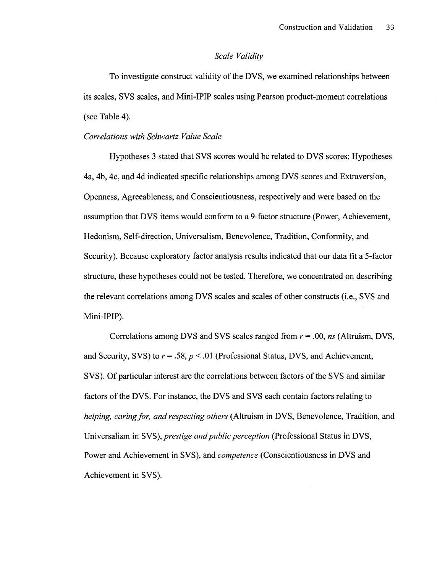### *Scale Validity*

To investigate construct validity of the DVS, we examined relationships between its scales, SVS scales, and Mini-IPIP scales using Pearson product-moment correlations (see Table 4).

### *Correlations with Schwartz Value Scale*

Hypotheses 3 stated that SVS scores would be related to DVS scores; Hypotheses 4a, 4b, 4c, and 4d indicated specific relationships among DVS scores and Extraversion, Openness, Agreeableness, and Conscientiousness, respectively and were based on the assumption that DVS items would conform to a 9-factor structure (Power, Achievement, Hedonism, Self-direction, Universalism, Benevolence, Tradition, Conformity, and Security). Because exploratory factor analysis results indicated that our data fit a 5-factor structure, these hypotheses could not be tested. Therefore, we concentrated on describing the relevant correlations among DVS scales and scales of other constructs (i.e., SVS and Mini-IPIP).

Correlations among DVS and SVS scales ranged from *r =* .00, *ns* (Altruism, DVS, and Security, SVS) to *r=* .58, *p <* .01 (Professional Status, DVS, and Achievement, SVS). Of particular interest are the correlations between factors of the SVS and similar factors of the DVS. For instance, the DVS and SVS each contain factors relating to *helping, caring for, and respecting others* (Altruism in DVS, Benevolence, Tradition, and Universalism in SVS), *prestige and public perception* (Professional Status in DVS, Power and Achievement in SVS), and *competence* (Conscientiousness in DVS and Achievement in SVS).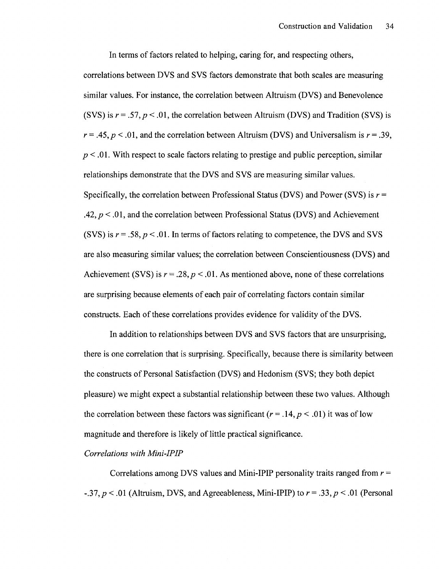In terms of factors related to helping, caring for, and respecting others, correlations between DVS and SVS factors demonstrate that both scales are measuring similar values. For instance, the correlation between Altruism (DVS) and Benevolence (SVS) is  $r = .57$ ,  $p < .01$ , the correlation between Altruism (DVS) and Tradition (SVS) is  $r = .45, p < .01$ , and the correlation between Altruism (DVS) and Universalism is  $r = .39$ ,  $p < 0.01$ . With respect to scale factors relating to prestige and public perception, similar relationships demonstrate that the DVS and SVS are measuring similar values. Specifically, the correlation between Professional Status (DVS) and Power (SVS) is *r =*  .42, *p* < .01, and the correlation between Professional Status (DVS) and Achievement (SVS) is  $r = .58$ ,  $p < .01$ . In terms of factors relating to competence, the DVS and SVS are also measuring similar values; the correlation between Conscientiousness (DVS) and Achievement (SVS) is  $r = .28$ ,  $p < .01$ . As mentioned above, none of these correlations are surprising because elements of each pair of correlating factors contain similar constructs. Each of these correlations provides evidence for validity of the DVS.

In addition to relationships between DVS and SVS factors that are unsurprising, there is one correlation that is surprising. Specifically, because there is similarity between the constructs of Personal Satisfaction (DVS) and Hedonism (SVS; they both depict pleasure) we might expect a substantial relationship between these two values. Although the correlation between these factors was significant  $(r = .14, p < .01)$  it was of low magnitude and therefore is likely of little practical significance.

### *Correlations with Mini-IPIP*

Correlations among DVS values and Mini-IPIP personality traits ranged from *r* = -.37,*p <* .01 (Altruism, DVS, and Agreeableness, Mini-IPIP) to *r =* .33,*p <* .01 (Personal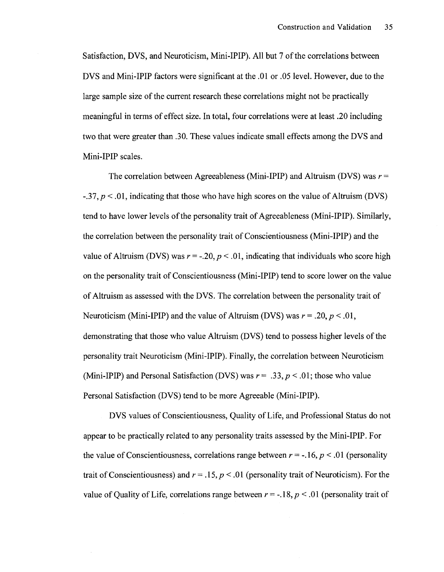Satisfaction, DVS, and Neuroticism, Mini-IPIP). All but 7 of the correlations between DVS and Mini-IPIP factors were significant at the .01 or .05 level. However, due to the large sample size of the current research these correlations might not be practically meaningful in terms of effect size. In total, four correlations were at least .20 including two that were greater than .30. These values indicate small effects among the DVS and Mini-IPIP scales.

The correlation between Agreeableness (Mini-IPIP) and Altruism (DVS) was *r* = -.37, *p <* .01, indicating that those who have high scores on the value of Altruism (DVS) tend to have lower levels of the personality trait of Agreeableness (Mini-IPIP). Similarly, the correlation between the personality trait of Conscientiousness (Mini-IPIP) and the value of Altruism (DVS) was  $r = -20$ ,  $p < 0.01$ , indicating that individuals who score high on the personality trait of Conscientiousness (Mini-IPIP) tend to score lower on the value of Altruism as assessed with the DVS. The correlation between the personality trait of Neuroticism (Mini-IPIP) and the value of Altruism (DVS) was  $r = .20, p < .01,$ demonstrating that those who value Altruism (DVS) tend to possess higher levels of the personality trait Neuroticism (Mini-IPIP). Finally, the correlation between Neuroticism (Mini-IPIP) and Personal Satisfaction (DVS) was  $r = .33$ ,  $p < .01$ ; those who value Personal Satisfaction (DVS) tend to be more Agreeable (Mini-IPIP).

DVS values of Conscientiousness, Quality of Life, and Professional Status do not appear to be practically related to any personality traits assessed by the Mini-IPIP. For the value of Conscientiousness, correlations range between  $r = -.16$ ,  $p < .01$  (personality trait of Conscientiousness) and *r* = *.15, p <* .01 (personality trait of Neuroticism). For the value of Quality of Life, correlations range between  $r = -18$ ,  $p < .01$  (personality trait of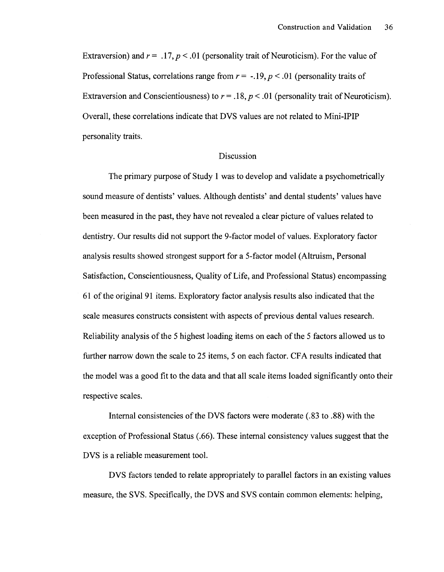Extraversion) and  $r = .17$ ,  $p < .01$  (personality trait of Neuroticism). For the value of Professional Status, correlations range from *r= -.19, p <* .01 (personality traits of Extraversion and Conscientiousness) to  $r = .18$ ,  $p < .01$  (personality trait of Neuroticism). Overall, these correlations indicate that DVS values are not related to Mini-IPIP personality traits.

### Discussion

The primary purpose of Study 1 was to develop and validate a psychometrically sound measure of dentists' values. Although dentists' and dental students' values have been measured in the past, they have not revealed a clear picture of values related to dentistry. Our results did not support the 9-factor model of values. Exploratory factor analysis results showed strongest support for a 5-factor model (Altruism, Personal Satisfaction, Conscientiousness, Quality of Life, and Professional Status) encompassing 61 of the original 91 items. Exploratory factor analysis results also indicated that the scale measures constructs consistent with aspects of previous dental values research. Reliability analysis of the 5 highest loading items on each of the 5 factors allowed us to further narrow down the scale to 25 items, 5 on each factor. CFA results indicated that the model was a good fit to the data and that all scale items loaded significantly onto their respective scales.

Internal consistencies of the DVS factors were moderate (.83 to .88) with the exception of Professional Status (.66). These internal consistency values suggest that the DVS is a reliable measurement tool.

DVS factors tended to relate appropriately to parallel factors in an existing values measure, the SVS. Specifically, the DVS and SVS contain common elements: helping,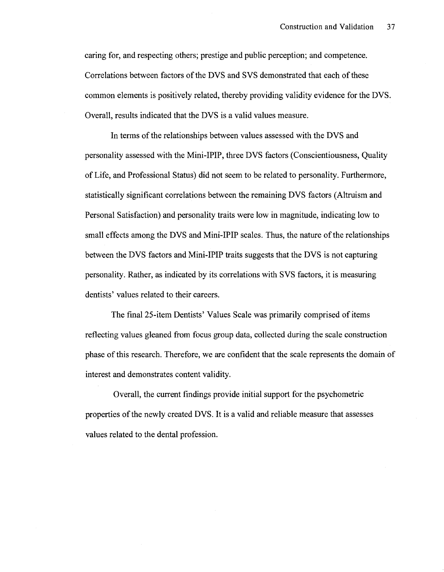caring for, and respecting others; prestige and public perception; and competence. Correlations between factors of the DVS and SVS demonstrated that each of these common elements is positively related, thereby providing validity evidence for the DVS. Overall, results indicated that the DVS is a valid values measure.

In terms of the relationships between values assessed with the DVS and personality assessed with the Mini-IPIP, three DVS factors (Conscientiousness, Quality of Life, and Professional Status) did not seem to be related to personality. Furthermore, statistically significant correlations between the remaining DVS factors (Altruism and Personal Satisfaction) and personality traits were low in magnitude, indicating low to small effects among the DVS and Mini-IPIP scales. Thus, the nature of the relationships between the DVS factors and Mini-IPIP traits suggests that the DVS is not capturing personality. Rather, as indicated by its correlations with SVS factors, it is measuring dentists' values related to their careers.

The final 25-item Dentists' Values Scale was primarily comprised of items reflecting values gleaned from focus group data, collected during the scale construction phase of this research. Therefore, we are confident that the scale represents the domain of interest and demonstrates content validity.

Overall, the current findings provide initial support for the psychometric properties of the newly created DVS. It is a valid and reliable measure that assesses values related to the dental profession.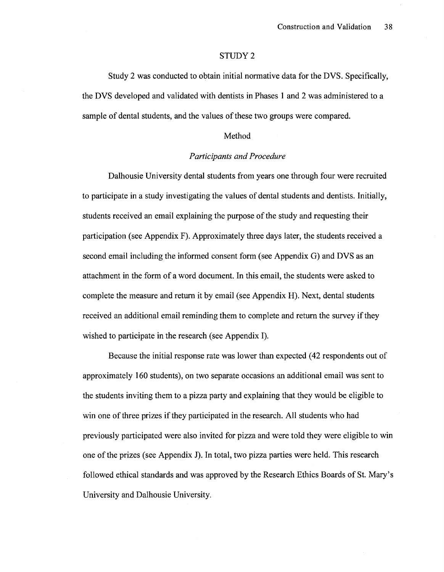#### STUDY 2

Study 2 was conducted to obtain initial normative data for the DVS. Specifically, the DVS developed and validated with dentists in Phases 1 and 2 was administered to a sample of dental students, and the values of these two groups were compared.

### Method

### *Participants and Procedure*

Dalhousie University dental students from years one through four were recruited to participate in a study investigating the values of dental students and dentists. Initially, students received an email explaining the purpose of the study and requesting their participation (see Appendix F). Approximately three days later, the students received a second email including the informed consent form (see Appendix G) and DVS as an attachment in the form of a word document. In this email, the students were asked to complete the measure and return it by email (see Appendix H). Next, dental students received an additional email reminding them to complete and return the survey if they wished to participate in the research (see Appendix I).

Because the initial response rate was lower than expected (42 respondents out of approximately 160 students), on two separate occasions an additional email was sent to the students inviting them to a pizza party and explaining that they would be eligible to win one of three prizes if they participated in the research. All students who had previously participated were also invited for pizza and were told they were eligible to win one of the prizes (see Appendix J). In total, two pizza parties were held. This research followed ethical standards and was approved by the Research Ethics Boards of St. Mary's University and Dalhousie University.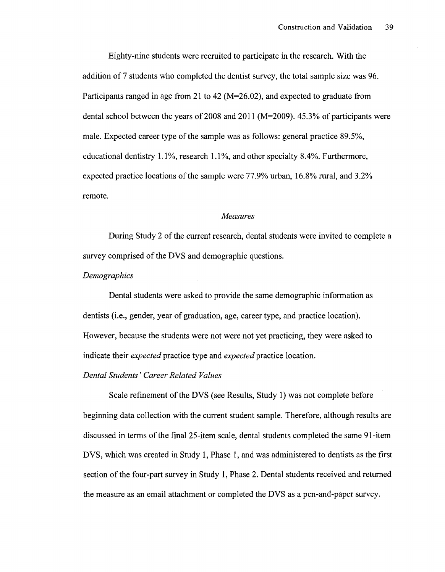Eighty-nine students were recruited to participate in the research. With the addition of 7 students who completed the dentist survey, the total sample size was 96. Participants ranged in age from 21 to 42 (M=26.02), and expected to graduate from dental school between the years of 2008 and 2011 (M=2009). 45.3% of participants were male. Expected career type of the sample was as follows: general practice 89.5%, educational dentistry 1.1%, research 1.1%, and other specialty 8.4%. Furthermore, expected practice locations of the sample were 77.9% urban, 16.8% rural, and 3.2% remote.

#### *Measures*

During Study 2 of the current research, dental students were invited to complete a survey comprised of the DVS and demographic questions.

### *Demographics*

Dental students were asked to provide the same demographic information as dentists (i.e., gender, year of graduation, age, career type, and practice location). However, because the students were not were not yet practicing, they were asked to indicate their *expected* practice type and *expected* practice location.

### *Dental Students' Career Related Values*

Scale refinement of the DVS (see Results, Study 1) was not complete before beginning data collection with the current student sample. Therefore, although results are discussed in terms of the final 25-item scale, dental students completed the same 91-item DVS, which was created in Study 1, Phase 1, and was administered to dentists as the first section of the four-part survey in Study 1, Phase 2. Dental students received and returned the measure as an email attachment or completed the DVS as a pen-and-paper survey.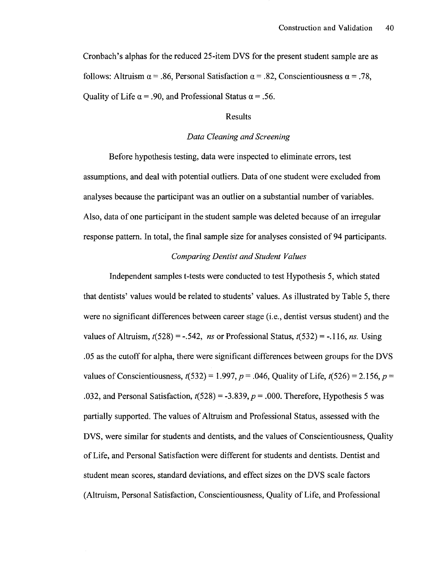Cronbach's alphas for the reduced 25-item DVS for the present student sample are as follows: Altruism  $\alpha = .86$ , Personal Satisfaction  $\alpha = .82$ , Conscientiousness  $\alpha = .78$ . Quality of Life  $\alpha$  = .90, and Professional Status  $\alpha$  = .56.

### Results

### *Data Cleaning and Screening*

Before hypothesis testing, data were inspected to eliminate errors, test assumptions, and deal with potential outliers. Data of one student were excluded from analyses because the participant was an outlier on a substantial number of variables. Also, data of one participant in the student sample was deleted because of an irregular response pattern. In total, the final sample size for analyses consisted of 94 participants.

### *Comparing Dentist and Student Values*

Independent samples t-tests were conducted to test Hypothesis 5, which stated that dentists' values would be related to students' values. As illustrated by Table 5, there were no significant differences between career stage (i.e., dentist versus student) and the values of Altruism,  $t(528) = -.542$ , *ns* or Professional Status,  $t(532) = -.116$ , *ns.* Using .05 as the cutoff for alpha, there were significant differences between groups for the DVS values of Conscientiousness,  $t(532) = 1.997, p = .046$ , Quality of Life,  $t(526) = 2.156, p =$ .032, and Personal Satisfaction,  $t(528) = -3.839$ ,  $p = .000$ . Therefore, Hypothesis 5 was partially supported. The values of Altruism and Professional Status, assessed with the DVS, were similar for students and dentists, and the values of Conscientiousness, Quality of Life, and Personal Satisfaction were different for students and dentists. Dentist and student mean scores, standard deviations, and effect sizes on the DVS scale factors (Altruism, Personal Satisfaction, Conscientiousness, Quality of Life, and Professional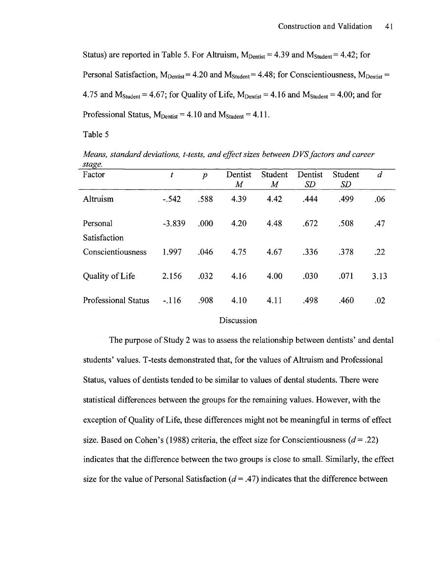Status) are reported in Table 5. For Altruism,  $M_{\text{Dentist}} = 4.39$  and  $M_{\text{Student}} = 4.42$ ; for Personal Satisfaction,  $M_{\text{Dentist}}= 4.20$  and  $M_{\text{Student}}= 4.48$ ; for Conscientiousness,  $M_{\text{Dentist}}=$ 4.75 and  $M_{Student} = 4.67$ ; for Quality of Life,  $M_{Dentist} = 4.16$  and  $M_{Student} = 4.00$ ; and for Professional Status,  $M_{\text{Dentist}} = 4.10$  and  $M_{\text{Student}} = 4.11$ .

Table 5

*Means, standard deviations, t-tests, and effect sizes between DVS factors and career stage.* 

| ິ<br>Factor                | t        | $\boldsymbol{p}$ | Dentist<br>$\overline{M}$ | Student<br>M | Dentist<br>SD | Student<br>SD | $\overline{d}$ |
|----------------------------|----------|------------------|---------------------------|--------------|---------------|---------------|----------------|
| Altruism                   | $-0.542$ | .588             | 4.39                      | 4.42         | .444          | .499          | .06            |
| Personal<br>Satisfaction   | $-3.839$ | .000             | 4.20                      | 4.48         | .672          | .508          | .47            |
| Conscientiousness          | 1.997    | .046             | 4.75                      | 4.67         | .336          | .378          | .22            |
| Quality of Life            | 2.156    | .032             | 4.16                      | 4.00         | .030          | .071          | 3.13           |
| <b>Professional Status</b> | $-.116$  | .908             | 4.10                      | 4.11         | .498          | .460          | .02            |

### Discussion

The purpose of Study 2 was to assess the relationship between dentists' and dental students' values. T-tests demonstrated that, for the values of Altruism and Professional Status, values of dentists tended to be similar to values of dental students. There were statistical differences between the groups for the remaining values. However, with the exception of Quality of Life, these differences might not be meaningful in terms of effect size. Based on Cohen's (1988) criteria, the effect size for Conscientiousness *(d=* .22) indicates that the difference between the two groups is close to small. Similarly, the effect size for the value of Personal Satisfaction  $(d = .47)$  indicates that the difference between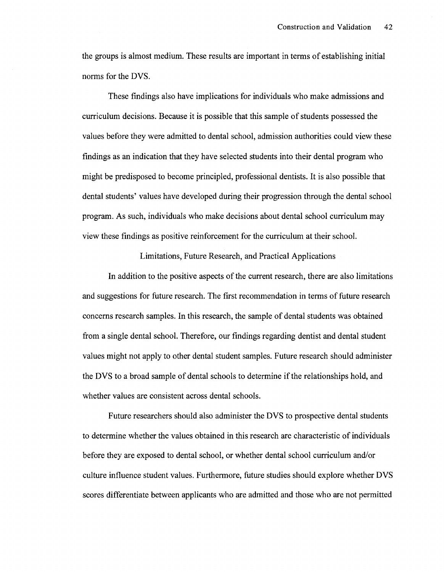the groups is almost medium. These results are important in terms of establishing initial norms for the DVS.

These findings also have implications for individuals who make admissions and curriculum decisions. Because it is possible that this sample of students possessed the values before they were admitted to dental school, admission authorities could view these findings as an indication that they have selected students into their dental program who might be predisposed to become principled, professional dentists. It is also possible that dental students' values have developed during their progression through the dental school program. As such, individuals who make decisions about dental school curriculum may view these findings as positive reinforcement for the curriculum at their school.

Limitations, Future Research, and Practical Applications

In addition to the positive aspects of the current research, there are also limitations and suggestions for future research. The first recommendation in terms of future research concerns research samples. In this research, the sample of dental students was obtained from a single dental school. Therefore, our findings regarding dentist and dental student values might not apply to other dental student samples. Future research should administer the DVS to a broad sample of dental schools to determine if the relationships hold, and whether values are consistent across dental schools.

Future researchers should also administer the DVS to prospective dental students to determine whether the values obtained in this research are characteristic of individuals before they are exposed to dental school, or whether dental school curriculum and/or culture influence student values. Furthermore, future studies should explore whether DVS scores differentiate between applicants who are admitted and those who are not permitted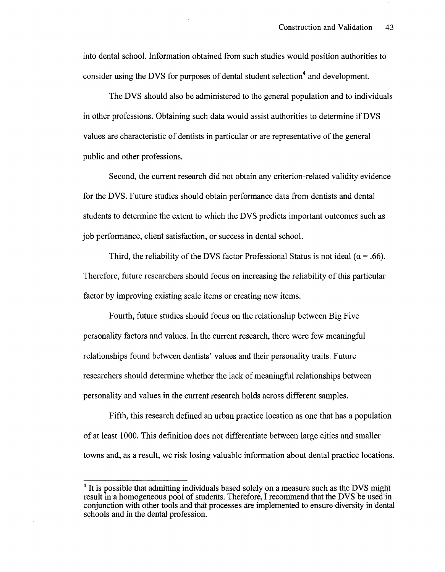into dental school. Information obtained from such studies would position authorities to consider using the DVS for purposes of dental student selection<sup>4</sup> and development.

The DVS should also be administered to the general population and to individuals in other professions. Obtaining such data would assist authorities to determine if DVS values are characteristic of dentists in particular or are representative of the general public and other professions.

Second, the current research did not obtain any criterion-related validity evidence for the DVS. Future studies should obtain performance data from dentists and dental students to determine the extent to which the DVS predicts important outcomes such as job performance, client satisfaction, or success in dental school.

Third, the reliability of the DVS factor Professional Status is not ideal ( $\alpha$  = .66). Therefore, future researchers should focus on increasing the reliability of this particular factor by improving existing scale items or creating new items.

Fourth, future studies should focus on the relationship between Big Five personality factors and values. In the current research, there were few meaningful relationships found between dentists' values and their personality traits. Future researchers should determine whether the lack of meaningful relationships between personality and values in the current research holds across different samples.

Fifth, this research defined an urban practice location as one that has a population of at least 1000. This definition does not differentiate between large cities and smaller towns and, as a result, we risk losing valuable information about dental practice locations.

<sup>&</sup>lt;sup>4</sup> It is possible that admitting individuals based solely on a measure such as the DVS might result in a homogeneous pool of students. Therefore, I recommend that the DVS be used in conjunction with other tools and that processes are implemented to ensure diversity in dental schools and in the dental profession.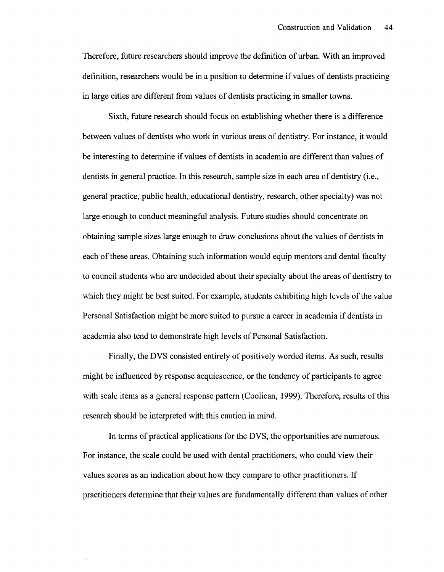Therefore, future researchers should improve the definition of urban. With an improved definition, researchers would be in a position to determine if values of dentists practicing in large cities are different from values of dentists practicing in smaller towns.

Sixth, future research should focus on establishing whether there is a difference between values of dentists who work in various areas of dentistry. For instance, it would be interesting to determine if values of dentists in academia are different than values of dentists in general practice. In this research, sample size in each area of dentistry (i.e., general practice, public health, educational dentistry, research, other specialty) was not large enough to conduct meaningful analysis. Future studies should concentrate on obtaining sample sizes large enough to draw conclusions about the values of dentists in each of these areas. Obtaining such information would equip mentors and dental faculty to council students who are undecided about their specialty about the areas of dentistry to which they might be best suited. For example, students exhibiting high levels of the value Personal Satisfaction might be more suited to pursue a career in academia if dentists in academia also tend to demonstrate high levels of Personal Satisfaction.

Finally, the DVS consisted entirely of positively worded items. As such, results might be influenced by response acquiescence, or the tendency of participants to agree with scale items as a general response pattern (Coolican, 1999). Therefore, results of this research should be interpreted with this caution in mind.

In terms of practical applications for the DVS, the opportunities are numerous. For instance, the scale could be used with dental practitioners, who could view their values scores as an indication about how they compare to other practitioners. If practitioners determine that their values are fundamentally different than values of other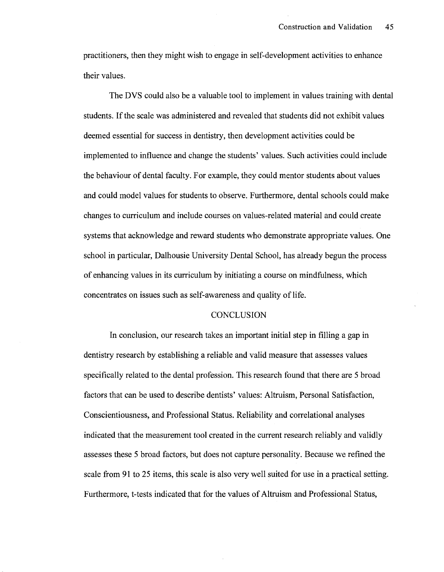practitioners, then they might wish to engage in self-development activities to enhance their values.

The DVS could also be a valuable tool to implement in values training with dental students. If the scale was administered and revealed that students did not exhibit values deemed essential for success in dentistry, then development activities could be implemented to influence and change the students' values. Such activities could include the behaviour of dental faculty. For example, they could mentor students about values and could model values for students to observe. Furthermore, dental schools could make changes to curriculum and include courses on values-related material and could create systems that acknowledge and reward students who demonstrate appropriate values. One school in particular, Dalhousie University Dental School, has already begun the process of enhancing values in its curriculum by initiating a course on mindfulness, which concentrates on issues such as self-awareness and quality of life.

### **CONCLUSION**

In conclusion, our research takes an important initial step in filling a gap in dentistry research by establishing a reliable and valid measure that assesses values specifically related to the dental profession. This research found that there are 5 broad factors that can be used to describe dentists' values: Altruism, Personal Satisfaction, Conscientiousness, and Professional Status. Reliability and correlational analyses indicated that the measurement tool created in the current research reliably and validly assesses these 5 broad factors, but does not capture personality. Because we refined the scale from 91 to 25 items, this scale is also very well suited for use in a practical setting. Furthermore, t-tests indicated that for the values of Altruism and Professional Status,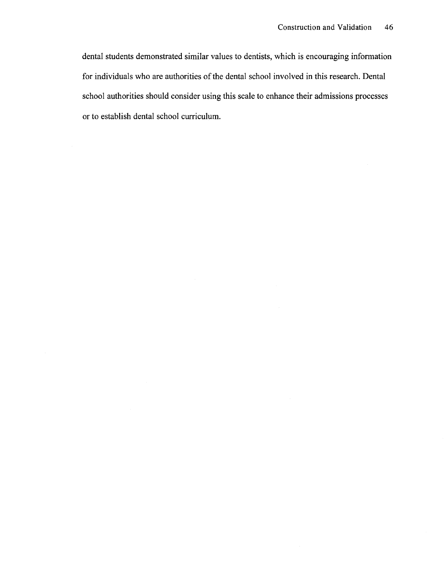dental students demonstrated similar values to dentists, which is encouraging information for individuals who are authorities of the dental school involved in this research. Dental school authorities should consider using this scale to enhance their admissions processes or to establish dental school curriculum.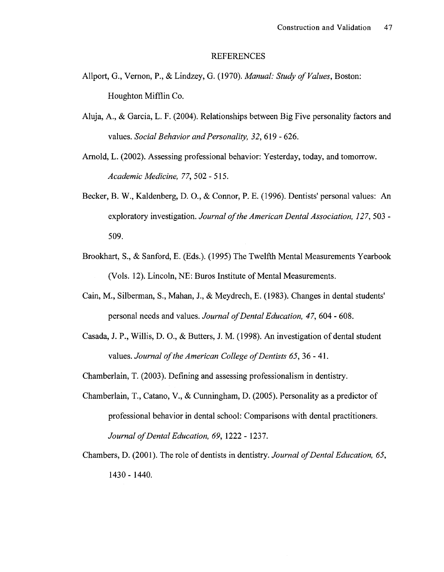#### REFERENCES

- Allport, G., Vernon, P., & Lindzey, G. (1970). *Manual: Study of Values,* Boston: Houghton Mifflin Co.
- Aluja, A., & Garcia, L. F. (2004). Relationships between Big Five personality factors and values. *Social Behavior and Personality, 32,619* - 626.
- Arnold, L. (2002). Assessing professional behavior: Yesterday, today, and tomorrow. *Academic Medicine, 77,* 502 - 515.
- Becker, B. W., Kaldenberg, D. O., & Connor, P. E. (1996). Dentists' personal values: An exploratory investigation. *Journal of the American Dental Association, 127,* 503 - 509.
- Brookhart, S., & Sanford, E. (Eds.). (1995) The Twelfth Mental Measurements Yearbook (Vols. 12). Lincoln, NE: Buros Institute of Mental Measurements.
- Cain, M., Silberman, S., Mahan, J., & Meydrech, E. (1983). Changes in dental students' personal needs and values. *Journal of Dental Education, 47,* 604 - 608.
- Casada, J. P., Willis, D. O., & Butters, J. M. (1998). An investigation of dental student values. *Journal of the American College of Dentists 65,* 36 - 41.
- Chamberlain, T. (2003). Defining and assessing professionalism in dentistry.
- Chamberlain, T., Catano, V., & Cunningham, D. (2005). Personality as a predictor of professional behavior in dental school: Comparisons with dental practitioners. *Journal of Dental Education, 69,* 1222 - 1237.
- Chambers, D. (2001). The role of dentists in dentistry. *Journal of Dental Education, 65,*  1430 - 1440.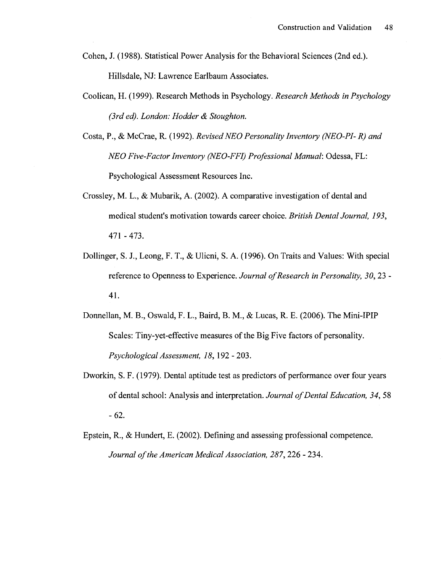Cohen, J. (1988). Statistical Power Analysis for the Behavioral Sciences (2nd ed.). Hillsdale, NJ: Lawrence Earlbaum Associates.

- Coolican, H. (1999). Research Methods in Psychology. *Research Methods in Psychology (3rd ed). London: Hodder & Stoughton.*
- Costa, P., & McCrae, R. (1992). *Revised NEO Personality Inventory (NEO-PI-R) and NEO Five-Factor Inventory (NEO-FFI) Professional Manual:* Odessa, FL: Psychological Assessment Resources Inc.
- Crossley, M. L., & Mubarik, A. (2002). A comparative investigation of dental and medical student's motivation towards career choice. *British Dental Journal, 193, All -* 473.
- Dollinger, S. J., Leong, F. T., & Ulicni, S. A. (1996). On Traits and Values: With special reference to Openness to Experience. *Journal of Research in Personality, 30,* 23 - 41.
- Donnellan, M. B., Oswald, F. L., Baird, B. M., & Lucas, R. E. (2006). The Mini-IPIP Scales: Tiny-yet-effective measures of the Big Five factors of personality. *Psychological Assessment, 18,* 192 -203.
- Dworkin, S. F. (1979). Dental aptitude test as predictors of performance over four years of dental school: Analysis and interpretation. *Journal of Dental Education, 34,* 58 -62.
- Epstein, R., & Hundert, E. (2002). Defining and assessing professional competence. *Journal of the American Medical Association, 287,* 226 - 234.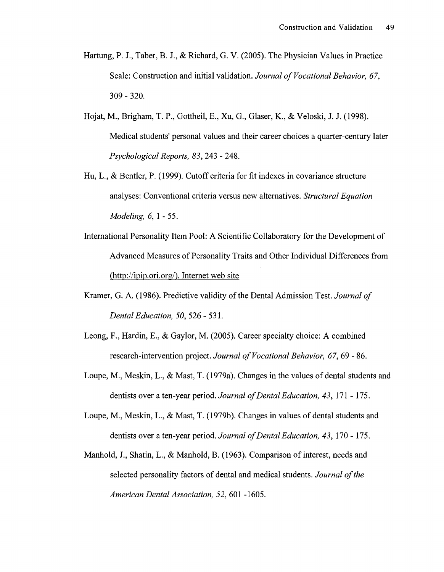- Hartung, P. J., Taber, B. J., & Richard, G. V. (2005). The Physician Values in Practice Scale: Construction and initial validation. *Journal of Vocational Behavior, 67,*  309 - 320.
- Hojat, M., Brigham, T. P., Gottheil, E., Xu, G., Glaser, K., & Veloski, J. J. (1998). Medical students' personal values and their career choices a quarter-century later *Psychological Reports, 83,* 243 - 248.
- Hu, L., & Bentler, P. (1999). Cutoff criteria for fit indexes in covariance structure analyses: Conventional criteria versus new alternatives. *Structural Equation Modeling, 6, 1 - 55.*
- International Personality Item Pool: A Scientific Collaboratory for the Development of Advanced Measures of Personality Traits and Other Individual Differences from [\(http://ipip.ori.org/\)](http://ipip.ori.org/). Internet web site
- Kramer, G. A. (1986). Predictive validity of the Dental Admission Test. *Journal of Dental Education, 50,* 526 - 531.
- Leong, F., Hardin, E., & Gaylor, M. (2005). Career specialty choice: A combined research-intervention project. *Journal of Vocational Behavior, 67,* 69 - 86.
- Loupe, M., Meskin, L., & Mast, T. (1979a). Changes in the values of dental students and dentists over a ten-year period. *Journal of Dental Education, 43,* 171 -175.
- Loupe, M., Meskin, L., & Mast, T. (1979b). Changes in values of dental students and dentists over a ten-year period. *Journal of Dental Education, 43,* 170-175.
- Manhold, J., Shatin, L., & Manhold, B. (1963). Comparison of interest, needs and selected personality factors of dental and medical students. *Journal of the American Dental Association, 52,* 601 -1605.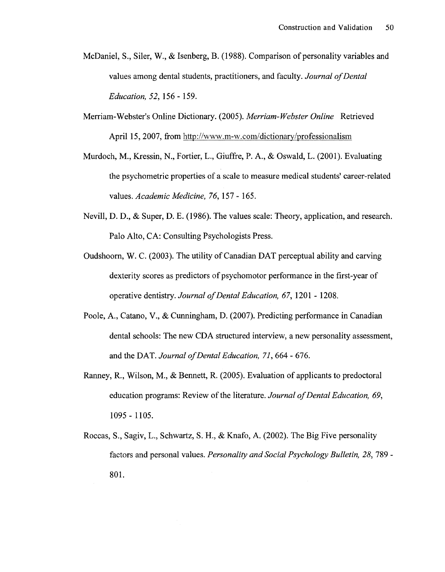- McDaniel, S., Siler, W., & Isenberg, B. (1988). Comparison of personality variables and values among dental students, practitioners, and faculty. *Journal of Dental Education, 52,* 156 - 159.
- Merriam-Webster's Online Dictionary. (2005). *Merriam-Webster Online* Retrieved April 15, 2007, from <http://www.m-w.com/dictionary/professionalism>
- Murdoch, M., Kressin, N., Fortier, L., Giuffre, P. A., & Oswald, L. (2001). Evaluating the psychometric properties of a scale to measure medical students' career-related values. *Academic Medicine, 76,* 157 - 165.
- Nevill, D. D., & Super, D. E. (1986). The values scale: Theory, application, and research. Palo Alto, CA: Consulting Psychologists Press.
- Oudshoorn, W. C. (2003). The utility of Canadian DAT perceptual ability and carving dexterity scores as predictors of psychomotor performance in the first-year of operative dentistry. *Journal of Dental Education, 67,* 1201 - 1208.
- Poole, A., Catano, V., & Cunningham, D. (2007). Predicting performance in Canadian dental schools: The new CDA structured interview, a new personality assessment, and the DAT. *Journal of Dental Education, 71,* 664 - 676.
- Ranney, R., Wilson, M., & Bennett, R. (2005). Evaluation of applicants to predoctoral education programs: Review of the literature. *Journal of Dental Education, 69,*  1095-1105.
- Roccas, S., Sagiv, L., Schwartz, S. H., & Knafo, A. (2002). The Big Five personality factors and personal values. *Personality and Social Psychology Bulletin, 28,* 789 - 801.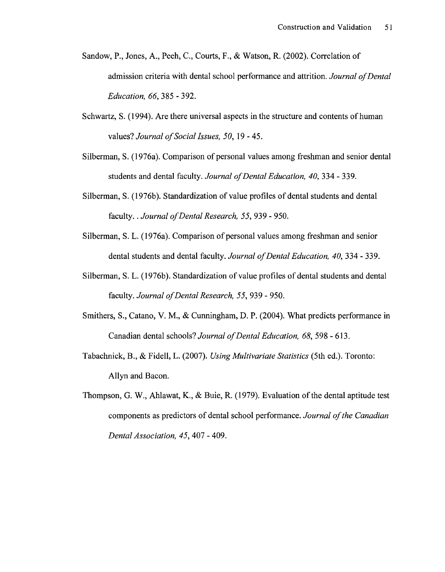- Sandow, P., Jones, A., Peeh, C, Courts, F., & Watson, R. (2002). Correlation of admission criteria with dental school performance and attrition. *Journal of Dental Education, 66,* 385 - 392.
- Schwartz, S. (1994). Are there universal aspects in the structure and contents of human values? *Journal of Social Issues, 50,* 19-45.
- Silberman, S. (1976a). Comparison of personal values among freshman and senior dental students and dental faculty. *Journal of Dental Education, 40,* 334-339.
- Silberman, S. (1976b). Standardization of value profiles of dental students and dental faculty.. *Journal of Dental Research, 55,* 939 - 950.
- Silberman, S. L. (1976a). Comparison of personal values among freshman and senior dental students and dental faculty. *Journal of Dental Education, 40,* 334 - 339.
- Silberman, S. L. (1976b). Standardization of value profiles of dental students and dental faculty. *Journal of Dental Research, 55,* 939 - 950.
- Smithers, S., Catano, V. M., & Cunningham, D. P. (2004). What predicts performance in Canadian dental schools? *Journal of Dental Education, 68,* 598 - 613.
- Tabachnick, B., & Fidell, L. (2007). *Using Multivariate Statistics* (5th ed.). Toronto: Allyn and Bacon.
- Thompson, G. W., Ahlawat, K., & Buie, R. (1979). Evaluation of the dental aptitude test components as predictors of dental school performance. *Journal of the Canadian Dental Association, 45,* 407 - 409.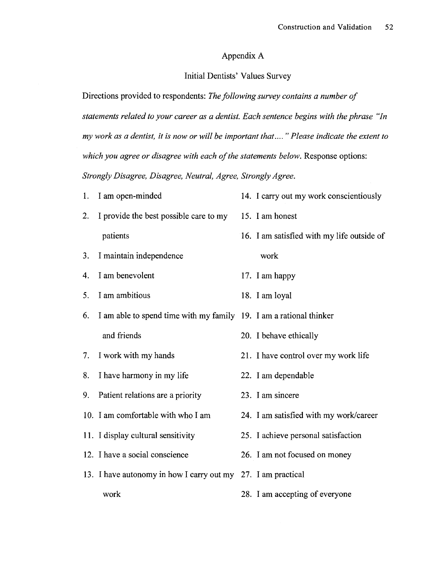### Appendix A

### Initial Dentists' Values Survey

Directions provided to respondents: *The following survey contains a number of statements related to your career as a dentist. Each sentence begins with the phrase "In my work as a dentist, it is now or will be important that.... " Please indicate the extent to which you agree or disagree with each of the statements below.* Response options: *Strongly Disagree, Disagree, Neutral, Agree, Strongly Agree.* 

| 1. | I am open-minded                                                   | 14. I carry out my work conscientiously    |
|----|--------------------------------------------------------------------|--------------------------------------------|
| 2. | I provide the best possible care to my 15. I am honest             |                                            |
|    | patients                                                           | 16. I am satisfied with my life outside of |
| 3. | I maintain independence                                            | work                                       |
| 4. | I am benevolent                                                    | 17. I am happy                             |
| 5. | I am ambitious                                                     | 18. I am loyal                             |
| 6. | I am able to spend time with my family 19. I am a rational thinker |                                            |
|    | and friends                                                        | 20. I behave ethically                     |
| 7. | I work with my hands                                               | 21. I have control over my work life       |
| 8. | I have harmony in my life                                          | 22. I am dependable                        |
| 9. | Patient relations are a priority                                   | 23. I am sincere                           |
|    | 10. I am comfortable with who I am                                 | 24. I am satisfied with my work/career     |
|    | 11. I display cultural sensitivity                                 | 25. I achieve personal satisfaction        |
|    | 12. I have a social conscience                                     | 26. I am not focused on money              |
|    | 13. I have autonomy in how I carry out my 27. I am practical       |                                            |
|    | work                                                               | 28. I am accepting of everyone             |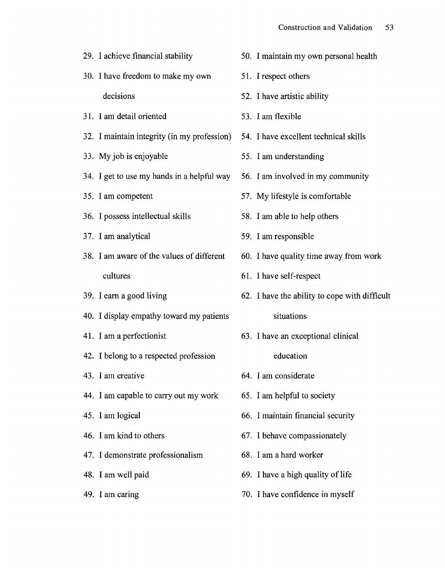| 29. I achieve financial stability           | 50. I maintain my own personal health         |
|---------------------------------------------|-----------------------------------------------|
| 30. I have freedom to make my own           | 51. I respect others                          |
| decisions                                   | 52. I have artistic ability                   |
| 31. I am detail oriented                    | 53. I am flexible                             |
| 32. I maintain integrity (in my profession) | 54. I have excellent technical skills         |
| 33. My job is enjoyable                     | 55. I am understanding                        |
| 34. I get to use my hands in a helpful way  | 56. I am involved in my community             |
| 35. I am competent                          | 57. My lifestyle is comfortable               |
| 36. I possess intellectual skills           | 58. I am able to help others                  |
| 37. I am analytical                         | 59. I am responsible                          |
| 38. I am aware of the values of different   | 60. I have quality time away from work        |
| cultures                                    | 61. I have self-respect                       |
| 39. I earn a good living                    | 62. I have the ability to cope with difficult |
| 40. I display empathy toward my patients    | situations                                    |
| 41. I am a perfectionist                    | 63. I have an exceptional clinical            |
| 42. I belong to a respected profession      | education                                     |
| 43. I am creative                           | 64. I am considerate                          |
| 44. I am capable to carry out my work       | 65. I am helpful to society                   |
| 45. I am logical                            | 66. I maintain financial security             |
| 46. I am kind to others                     | 67. I behave compassionately                  |
| 47. I demonstrate professionalism           | 68. I am a hard worker                        |
| 48. I am well paid                          | 69. I have a high quality of life             |
| 49. I am caring                             | 70. I have confidence in myself               |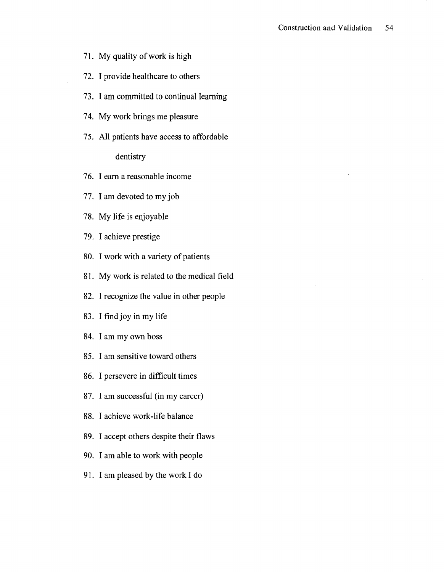- 71. My quality of work is high
- 72. I provide healthcare to others
- 73. I am committed to continual learning
- 74. My work brings me pleasure
- 75. All patients have access to affordable

### dentistry

- 76. I earn a reasonable income
- 77. I am devoted to my job
- 78. My life is enjoyable
- 79. I achieve prestige
- 80. I work with a variety of patients
- 81. My work is related to the medical field
- 82. I recognize the value in other people
- 83. I find joy in my life
- 84. I am my own boss
- 85. I am sensitive toward others
- 86. I persevere in difficult times
- 87. I am successful (in my career)
- 88. I achieve work-life balance
- 89. I accept others despite their flaws
- 90. I am able to work with people
- 91. I am pleased by the work I do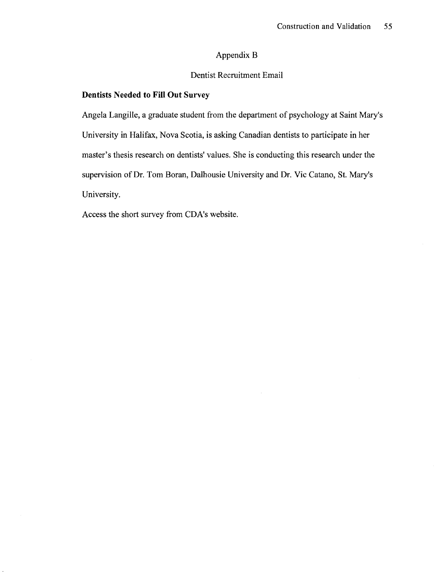### Appendix B

### Dentist Recruitment Email

### **Dentists Needed to Fill Out** Survey

Angela Langille, a graduate student from the department of psychology at Saint Mary's University in Halifax, Nova Scotia, is asking Canadian dentists to participate in her master's thesis research on dentists' values. She is conducting this research under the supervision of Dr. Tom Boran, Dalhousie University and Dr. Vic Catano, St. Mary's University.

Access the short survey from CDA's website.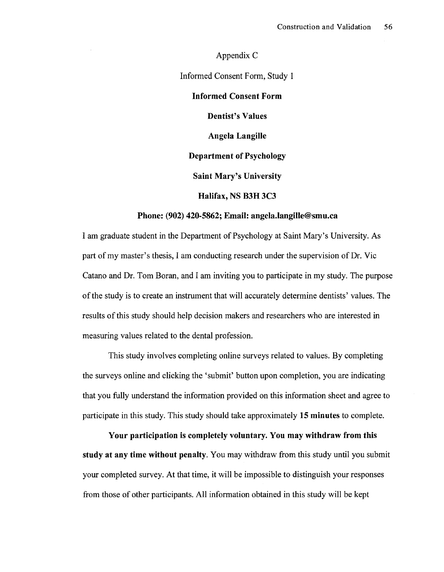Appendix C Informed Consent Form, Study 1 **Informed Consent Form Dentist's Values Angela Langille Department of Psychology Saint Mary's University Halifax, NSB3H3C3** 

### **Phone: (902) 420-5862; Email: [angela.langille@smu.ca](mailto:angela.langille@smu.ca)**

I am graduate student in the Department of Psychology at Saint Mary's University. As part of my master's thesis, I am conducting research under the supervision of Dr. Vic Catano and Dr. Tom Boran, and I am inviting you to participate in my study. The purpose of the study is to create an instrument that will accurately determine dentists' values. The results of this study should help decision makers and researchers who are interested in measuring values related to the dental profession.

This study involves completing online surveys related to values. By completing the surveys online and clicking the 'submit' button upon completion, you are indicating that you fully understand the information provided on this information sheet and agree to participate in this study. This study should take approximately **15 minutes** to complete.

**Your participation is completely voluntary. You may withdraw from this study at any time without penalty.** You may withdraw from this study until you submit your completed survey. At that time, it will be impossible to distinguish your responses from those of other participants. All information obtained in this study will be kept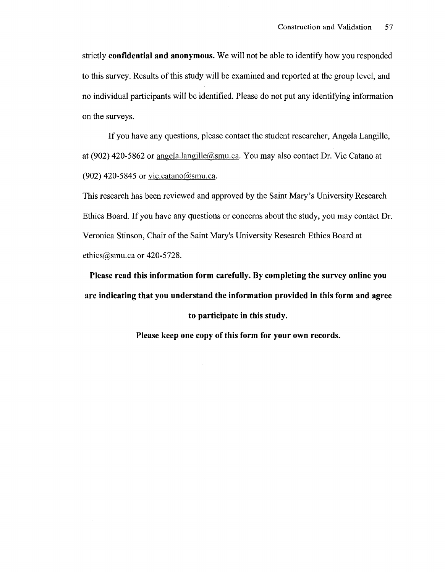strictly **confidential and anonymous.** We will not be able to identify how you responded to this survey. Results of this study will be examined and reported at the group level, and no individual participants will be identified. Please do not put any identifying information on the surveys.

If you have any questions, please contact the student researcher, Angela Langille, at (902) 420-5862 or [angela.langille@smu.ca.](mailto:angela.langille@smu.ca) You may also contact Dr. Vic Catano at (902) 420-5845 or [vic.catano@smu.ca.](mailto:vic.catano@smu.ca)

This research has been reviewed and approved by the Saint Mary's University Research Ethics Board. If you have any questions or concerns about the study, you may contact Dr. Veronica Stinson, Chair of the Saint Mary's University Research Ethics Board at ethics  $@smu.ca$  or 420-5728.

**Please read this information form carefully. By completing the survey online you are indicating that you understand the information provided in this form and agree to participate in this study.** 

**Please keep one copy of this form for your own records.**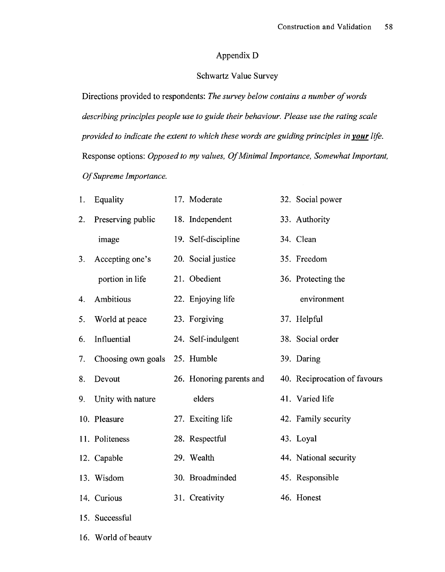### Appendix D

### Schwartz Value Survey

Directions provided to respondents: *The survey below contains a number of words describing principles people use to guide their behaviour. Please use the rating scale provided to indicate the extent to which these words are guiding principles in your life.*  Response options: *Opposed to my values, Of Minimal Importance, Somewhat Important, Of Supreme Importance.* 

| 1. | Equality                      | 17. Moderate             | 32. Social power             |
|----|-------------------------------|--------------------------|------------------------------|
| 2. | Preserving public             | 18. Independent          | 33. Authority                |
|    | image                         | 19. Self-discipline      | 34. Clean                    |
| 3. | Accepting one's               | 20. Social justice       | 35. Freedom                  |
|    | portion in life               | 21. Obedient             | 36. Protecting the           |
| 4. | Ambitious                     | 22. Enjoying life        | environment                  |
| 5. | World at peace                | 23. Forgiving            | 37. Helpful                  |
| 6. | Influential                   | 24. Self-indulgent       | 38. Social order             |
| 7. | Choosing own goals 25. Humble |                          | 39. Daring                   |
| 8. | Devout                        | 26. Honoring parents and | 40. Reciprocation of favours |
| 9. | Unity with nature             | elders                   | 41. Varied life              |
|    | 10. Pleasure                  | 27. Exciting life        | 42. Family security          |
|    | 11. Politeness                | 28. Respectful           | 43. Loyal                    |
|    | 12. Capable                   | 29. Wealth               | 44. National security        |
|    | 13. Wisdom                    | 30. Broadminded          | 45. Responsible              |
|    | 14. Curious                   | 31. Creativity           | 46. Honest                   |
|    | 15. Successful                |                          |                              |

16. World of beauty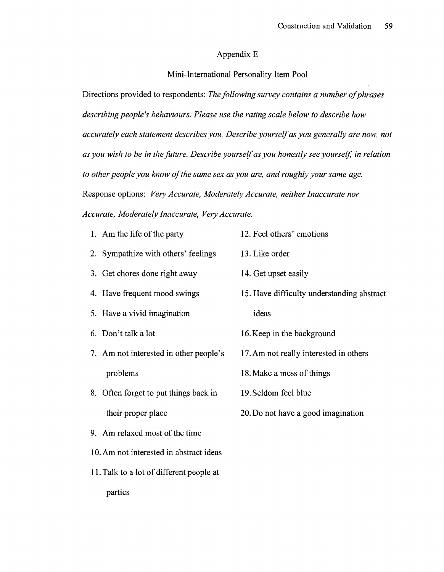### Appendix E

#### Mini-International Personality Item Pool

Directions provided to respondents: *The following survey contains a number of phrases describing people's behaviours. Please use the rating scale below to describe how accurately each statement describes you. Describe yourself as you generally are now, not as you wish to be in the future. Describe yourself as you honestly see yourself in relation to other people you know of the same sex as you are, and roughly your same age.*  Response options: *Very Accurate, Moderately Accurate, neither Inaccurate nor Accurate, Moderately Inaccurate, Very Accurate.* 

1. Am the life of the party 12. Feel others' emotions 2. Sympathize with others' feelings 13. Like order 3. Get chores done right away 4. Have frequent mood swings 5. Have a vivid imagination 6. Don't talk a lot 14. Get upset easily 15. Have difficulty understanding abstract ideas 16. Keep in the background 7. Am not interested in other people's 17. Am not really interested in others problems 8. Often forget to put things back in their proper place 9. Am relaxed most of the time 18. Make a mess of things 19. Seldom feel blue 20. Do not have a good imagination

10. Am not interested in abstract ideas

11. Talk to a lot of different people at

parties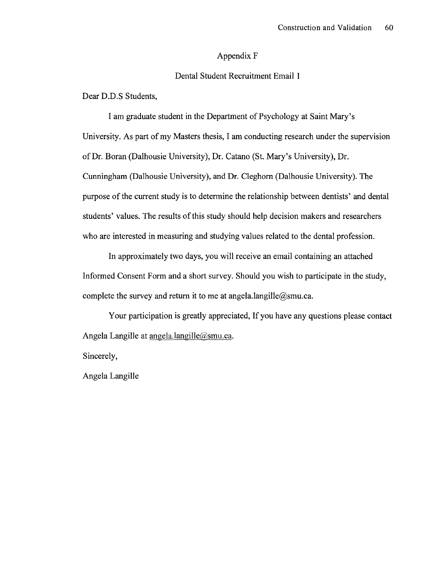### Appendix F

### Dental Student Recruitment Email 1

Dear D.D.S Students,

I am graduate student in the Department of Psychology at Saint Mary's University. As part of my Masters thesis, I am conducting research under the supervision of Dr. Boran (Dalhousie University), Dr. Catano (St. Mary's University), Dr. Cunningham (Dalhousie University), and Dr. Cleghorn (Dalhousie University). The purpose of the current study is to determine the relationship between dentists' and dental students' values. The results of this study should help decision makers and researchers who are interested in measuring and studying values related to the dental profession.

In approximately two days, you will receive an email containing an attached Informed Consent Form and a short survey. Should you wish to participate in the study, complete the survey and return it to me at angela.langille $@s$ smu.ca.

Your participation is greatly appreciated, If you have any questions please contact Angela Langille at [angela.langille@smu.ca.](mailto:angela.langille@smu.ca)

Sincerely,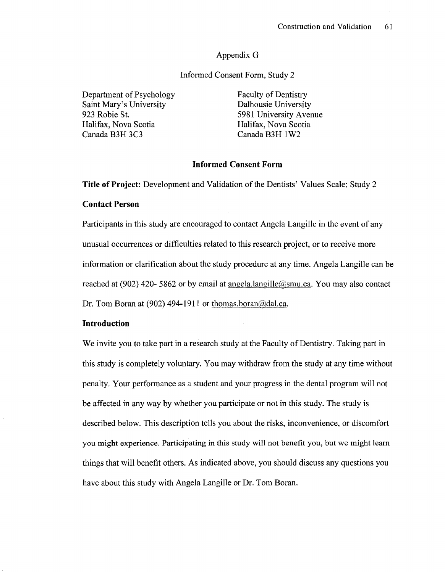### Appendix G

### Informed Consent Form, Study 2

Department of Psychology<br>
Saint Mary's University<br>
Dalhousie University<br>
Dalhousie University Saint Mary's University<br>923 Robie St. 923 Robie St. 5981 University Avenue<br>
Halifax, Nova Scotia<br>
Halifax, Nova Scotia Halifax, Nova Scotia Halifax, Nova Scotia

Canada B3H 1W2

### **Informed Consent Form**

**Title of Project:** Development and Validation of the Dentists' Values Scale: Study 2

### **Contact Person**

Participants in this study are encouraged to contact Angela Langille in the event of any unusual occurrences or difficulties related to this research project, or to receive more information or clarification about the study procedure at any time. Angela Langille can be reached at (902) 420- 5862 or by email at [angela.langille@smu.ca.](mailto:angela.langille@smu.ca) You may also contact Dr. Tom Boran at (902) 494-1911 or thomas.boran $\omega$ dal.ca.

### **Introduction**

We invite you to take part in a research study at the Faculty of Dentistry. Taking part in this study is completely voluntary. You may withdraw from the study at any time without penalty. Your performance as a student and your progress in the dental program will not be affected in any way by whether you participate or not in this study. The study is described below. This description tells you about the risks, inconvenience, or discomfort you might experience. Participating in this study will not benefit you, but we might learn things that will benefit others. As indicated above, you should discuss any questions you have about this study with Angela Langille or Dr. Tom Boran.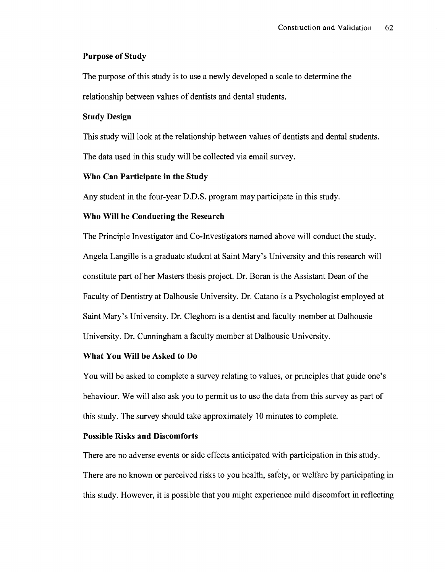### **Purpose of Study**

The purpose of this study is to use a newly developed a scale to determine the relationship between values of dentists and dental students.

### **Study Design**

This study will look at the relationship between values of dentists and dental students. The data used in this study will be collected via email survey.

### **Who Can Participate in the Study**

Any student in the four-year D.D.S. program may participate in this study.

### **Who Will be Conducting the Research**

The Principle Investigator and Co-Investigators named above will conduct the study. Angela Langille is a graduate student at Saint Mary's University and this research will constitute part of her Masters thesis project. Dr. Boran is the Assistant Dean of the Faculty of Dentistry at Dalhousie University. Dr. Catano is a Psychologist employed at Saint Mary's University. Dr. Cleghorn is a dentist and faculty member at Dalhousie University. Dr. Cunningham a faculty member at Dalhousie University.

### **What You Will be Asked to Do**

You will be asked to complete a survey relating to values, or principles that guide one's behaviour. We will also ask you to permit us to use the data from this survey as part of this study. The survey should take approximately 10 minutes to complete.

### **Possible Risks and Discomforts**

There are no adverse events or side effects anticipated with participation in this study. There are no known or perceived risks to you health, safety, or welfare by participating in this study. However, it is possible that you might experience mild discomfort in reflecting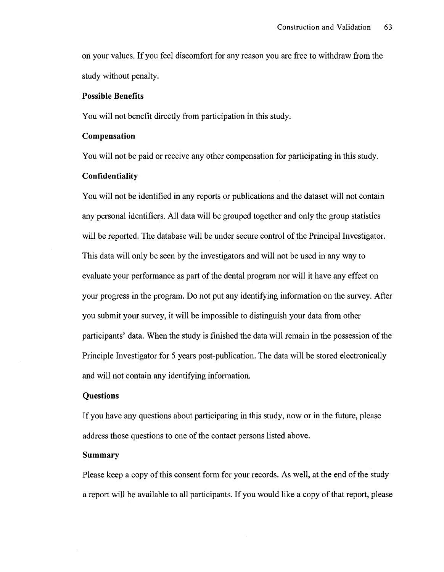on your values. If you feel discomfort for any reason you are free to withdraw from the study without penalty.

#### **Possible Benefits**

You will not benefit directly from participation in this study.

### **Compensation**

You will not be paid or receive any other compensation for participating in this study.

### **Confidentiality**

You will not be identified in any reports or publications and the dataset will not contain any personal identifiers. All data will be grouped together and only the group statistics will be reported. The database will be under secure control of the Principal Investigator. This data will only be seen by the investigators and will not be used in any way to evaluate your performance as part of the dental program nor will it have any effect on your progress in the program. Do not put any identifying information on the survey. After you submit your survey, it will be impossible to distinguish your data from other participants' data. When the study is finished the data will remain in the possession of the Principle Investigator for 5 years post-publication. The data will be stored electronically and will not contain any identifying information.

### **Questions**

If you have any questions about participating in this study, now or in the future, please address those questions to one of the contact persons listed above.

### Summary

Please keep a copy of this consent form for your records. As well, at the end of the study a report will be available to all participants. If you would like a copy of that report, please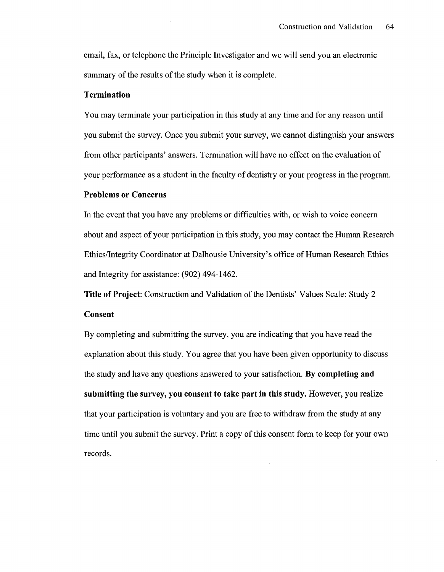email, fax, or telephone the Principle Investigator and we will send you an electronic summary of the results of the study when it is complete.

### **Termination**

You may terminate your participation in this study at any time and for any reason until you submit the survey. Once you submit your survey, we cannot distinguish your answers from other participants' answers. Termination will have no effect on the evaluation of your performance as a student in the faculty of dentistry or your progress in the program.

### **Problems or Concerns**

In the event that you have any problems or difficulties with, or wish to voice concern about and aspect of your participation in this study, you may contact the Human Research Ethics/Integrity Coordinator at Dalhousie University's office of Human Research Ethics and Integrity for assistance: (902) 494-1462.

**Title of Project:** Construction and Validation of the Dentists' Values Scale: Study 2

### **Consent**

By completing and submitting the survey, you are indicating that you have read the explanation about this study. You agree that you have been given opportunity to discuss the study and have any questions answered to your satisfaction. **By completing and submitting the survey, you consent to take part in this study.** However, you realize that your participation is voluntary and you are free to withdraw from the study at any time until you submit the survey. Print a copy of this consent form to keep for your own records.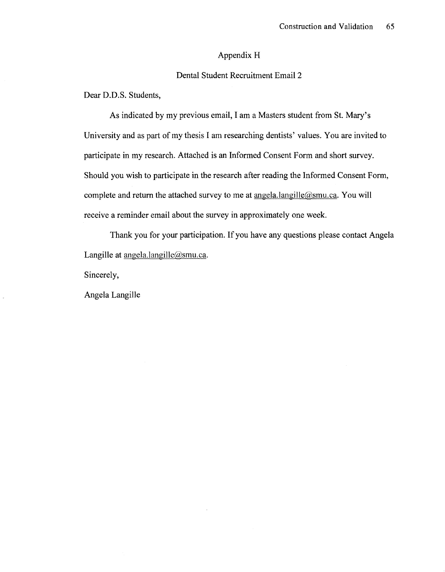### Appendix H

### Dental Student Recruitment Email 2

Dear D.D.S. Students,

As indicated by my previous email, I am a Masters student from St. Mary's University and as part of my thesis I am researching dentists' values. You are invited to participate in my research. Attached is an Informed Consent Form and short survey. Should you wish to participate in the research after reading the Informed Consent Form, complete and return the attached survey to me at  $\text{anglel}$ .langille( $\text{@smu.ca.}$  You will receive a reminder email about the survey in approximately one week.

Thank you for your participation. If you have any questions please contact Angela Langille at [angela.langille@smu.ca.](mailto:angela.langille@smu.ca)

Sincerely,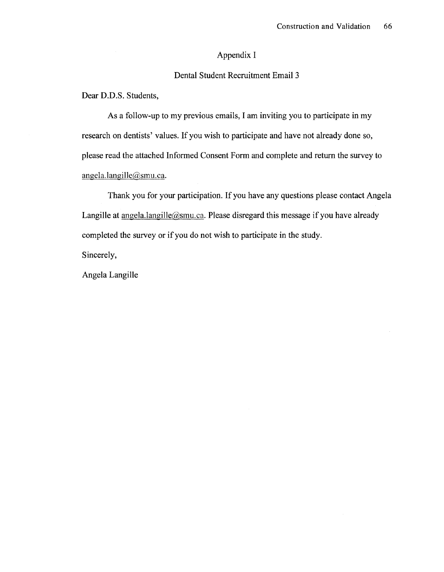### Appendix I

### Dental Student Recruitment Email 3

Dear D.D.S. Students,

As a follow-up to my previous emails, I am inviting you to participate in my research on dentists' values. If you wish to participate and have not already done so, please read the attached Informed Consent Form and complete and return the survey to [angela.langille@smu.ca.](mailto:angela.langille@smu.ca)

Thank you for your participation. If you have any questions please contact Angela Langille at angela.langille@smu.ca. Please disregard this message if you have already completed the survey or if you do not wish to participate in the study.

Sincerely,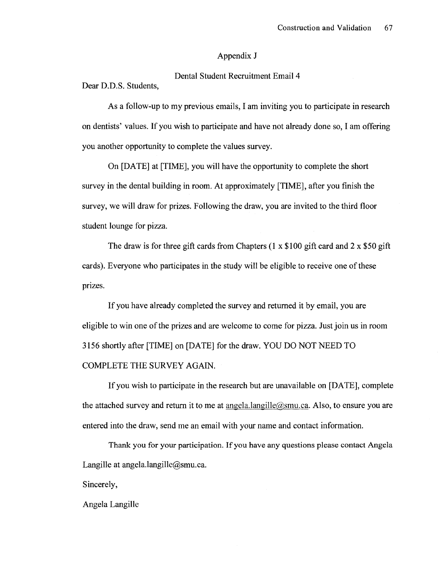### Appendix J

Dental Student Recruitment Email 4

Dear D.D.S. Students,

As a follow-up to my previous emails, I am inviting you to participate in research on dentists' values. If you wish to participate and have not already done so, I am offering you another opportunity to complete the values survey.

On [DATE] at [TIME], you will have the opportunity to complete the short survey in the dental building in room. At approximately [TIME], after you finish the survey, we will draw for prizes. Following the draw, you are invited to the third floor student lounge for pizza.

The draw is for three gift cards from Chapters  $(1 \times $100$  gift card and  $2 \times $50$  gift cards). Everyone who participates in the study will be eligible to receive one of these prizes.

If you have already completed the survey and returned it by email, you are eligible to win one of the prizes and are welcome to come for pizza. Just join us in room 3156 shortly after [TIME] on [DATE] for the draw. YOU DO NOT NEED TO COMPLETE THE SURVEY AGAIN.

If you wish to participate in the research but are unavailable on [DATE], complete the attached survey and return it to me at  $\text{anglel}$ . langille@smu.ca. Also, to ensure you are entered into the draw, send me an email with your name and contact information.

Thank you for your participation. If you have any questions please contact Angela Langille at [angela.langille@smu.ca.](mailto:angela.langille@smu.ca)

Sincerely,